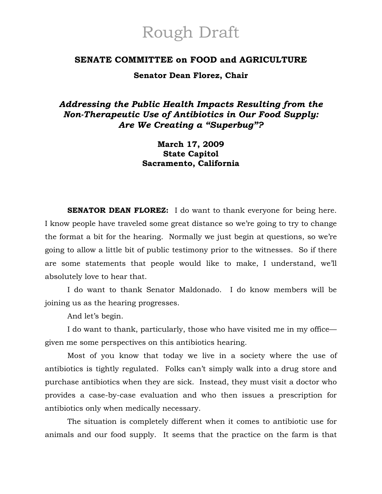# Rough Draft

## **SENATE COMMITTEE on FOOD and AGRICULTURE**

**Senator Dean Florez, Chair** 

# *Addressing the Public Health Impacts Resulting from the Non-Therapeutic Use of Antibiotics in Our Food Supply: Are We Creating a "Superbug"?*

# **March 17, 2009 State Capitol Sacramento, California**

**SENATOR DEAN FLOREZ:** I do want to thank everyone for being here. I know people have traveled some great distance so we're going to try to change the format a bit for the hearing. Normally we just begin at questions, so we're going to allow a little bit of public testimony prior to the witnesses. So if there are some statements that people would like to make, I understand, we'll absolutely love to hear that.

 I do want to thank Senator Maldonado. I do know members will be joining us as the hearing progresses.

And let's begin.

 I do want to thank, particularly, those who have visited me in my office given me some perspectives on this antibiotics hearing.

Most of you know that today we live in a society where the use of antibiotics is tightly regulated. Folks can't simply walk into a drug store and purchase antibiotics when they are sick. Instead, they must visit a doctor who provides a case-by-case evaluation and who then issues a prescription for antibiotics only when medically necessary.

The situation is completely different when it comes to antibiotic use for animals and our food supply. It seems that the practice on the farm is that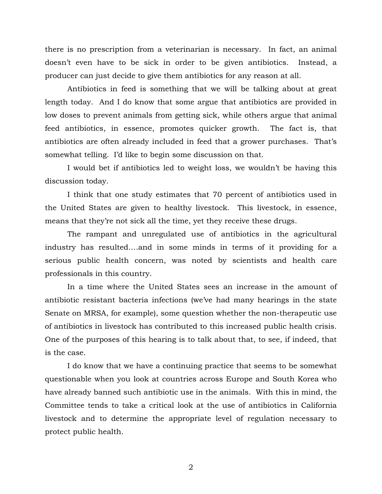there is no prescription from a veterinarian is necessary. In fact, an animal doesn't even have to be sick in order to be given antibiotics. Instead, a producer can just decide to give them antibiotics for any reason at all.

Antibiotics in feed is something that we will be talking about at great length today. And I do know that some argue that antibiotics are provided in low doses to prevent animals from getting sick, while others argue that animal feed antibiotics, in essence, promotes quicker growth. The fact is, that antibiotics are often already included in feed that a grower purchases. That's somewhat telling. I'd like to begin some discussion on that.

I would bet if antibiotics led to weight loss, we wouldn't be having this discussion today.

I think that one study estimates that 70 percent of antibiotics used in the United States are given to healthy livestock. This livestock, in essence, means that they're not sick all the time, yet they receive these drugs.

The rampant and unregulated use of antibiotics in the agricultural industry has resulted….and in some minds in terms of it providing for a serious public health concern, was noted by scientists and health care professionals in this country.

In a time where the United States sees an increase in the amount of antibiotic resistant bacteria infections (we've had many hearings in the state Senate on MRSA, for example), some question whether the non-therapeutic use of antibiotics in livestock has contributed to this increased public health crisis. One of the purposes of this hearing is to talk about that, to see, if indeed, that is the case.

I do know that we have a continuing practice that seems to be somewhat questionable when you look at countries across Europe and South Korea who have already banned such antibiotic use in the animals. With this in mind, the Committee tends to take a critical look at the use of antibiotics in California livestock and to determine the appropriate level of regulation necessary to protect public health.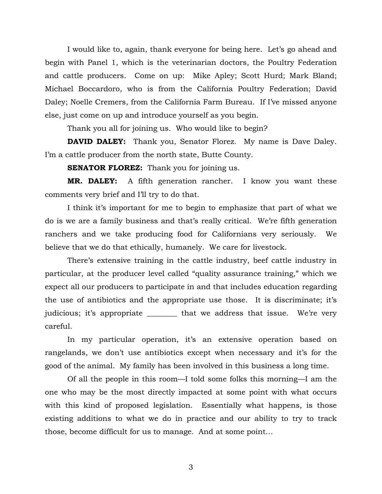I would like to, again, thank everyone for being here. Let's go ahead and begin with Panel 1, which is the veterinarian doctors, the Poultry Federation and cattle producers. Come on up: Mike Apley; Scott Hurd; Mark Bland; Michael Boccardoro, who is from the California Poultry Federation; David Daley; Noelle Cremers, from the California Farm Bureau. If I've missed anyone else, just come on up and introduce yourself as you begin.

Thank you all for joining us. Who would like to begin?

**DAVID DALEY:** Thank you, Senator Florez. My name is Dave Daley. I'm a cattle producer from the north state, Butte County.

**SENATOR FLOREZ:** Thank you for joining us.

**MR. DALEY:** A fifth generation rancher. I know you want these comments very brief and I'll try to do that.

I think it's important for me to begin to emphasize that part of what we do is we are a family business and that's really critical. We're fifth generation ranchers and we take producing food for Californians very seriously. We believe that we do that ethically, humanely. We care for livestock.

There's extensive training in the cattle industry, beef cattle industry in particular, at the producer level called "quality assurance training," which we expect all our producers to participate in and that includes education regarding the use of antibiotics and the appropriate use those. It is discriminate; it's judicious; it's appropriate \_\_\_\_\_\_\_\_\_ that we address that issue. We're very careful.

In my particular operation, it's an extensive operation based on rangelands, we don't use antibiotics except when necessary and it's for the good of the animal. My family has been involved in this business a long time.

Of all the people in this room—I told some folks this morning—I am the one who may be the most directly impacted at some point with what occurs with this kind of proposed legislation. Essentially what happens, is those existing additions to what we do in practice and our ability to try to track those, become difficult for us to manage. And at some point…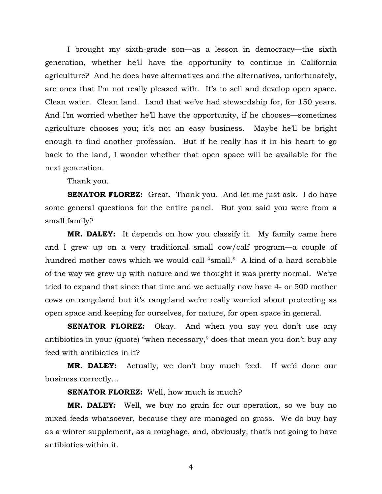I brought my sixth-grade son—as a lesson in democracy—the sixth generation, whether he'll have the opportunity to continue in California agriculture? And he does have alternatives and the alternatives, unfortunately, are ones that I'm not really pleased with. It's to sell and develop open space. Clean water. Clean land. Land that we've had stewardship for, for 150 years. And I'm worried whether he'll have the opportunity, if he chooses—sometimes agriculture chooses you; it's not an easy business. Maybe he'll be bright enough to find another profession. But if he really has it in his heart to go back to the land, I wonder whether that open space will be available for the next generation.

Thank you.

**SENATOR FLOREZ:** Great. Thank you. And let me just ask. I do have some general questions for the entire panel. But you said you were from a small family?

**MR. DALEY:** It depends on how you classify it. My family came here and I grew up on a very traditional small cow/calf program—a couple of hundred mother cows which we would call "small." A kind of a hard scrabble of the way we grew up with nature and we thought it was pretty normal. We've tried to expand that since that time and we actually now have 4- or 500 mother cows on rangeland but it's rangeland we're really worried about protecting as open space and keeping for ourselves, for nature, for open space in general.

**SENATOR FLOREZ:** Okay. And when you say you don't use any antibiotics in your (quote) "when necessary," does that mean you don't buy any feed with antibiotics in it?

**MR. DALEY:** Actually, we don't buy much feed. If we'd done our business correctly…

#### **SENATOR FLOREZ:** Well, how much is much?

**MR. DALEY:** Well, we buy no grain for our operation, so we buy no mixed feeds whatsoever, because they are managed on grass. We do buy hay as a winter supplement, as a roughage, and, obviously, that's not going to have antibiotics within it.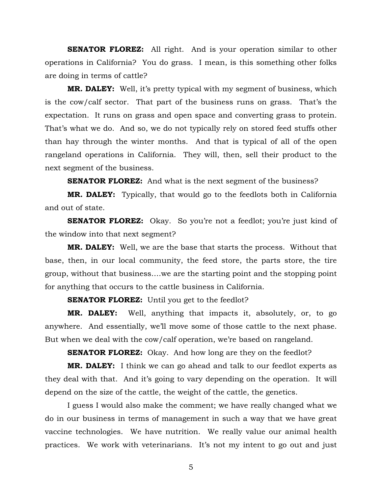**SENATOR FLOREZ:** All right. And is your operation similar to other operations in California? You do grass. I mean, is this something other folks are doing in terms of cattle?

**MR. DALEY:** Well, it's pretty typical with my segment of business, which is the cow/calf sector. That part of the business runs on grass. That's the expectation. It runs on grass and open space and converting grass to protein. That's what we do. And so, we do not typically rely on stored feed stuffs other than hay through the winter months. And that is typical of all of the open rangeland operations in California. They will, then, sell their product to the next segment of the business.

**SENATOR FLOREZ:** And what is the next segment of the business?

**MR. DALEY:** Typically, that would go to the feedlots both in California and out of state.

**SENATOR FLOREZ:** Okay. So you're not a feedlot; you're just kind of the window into that next segment?

**MR. DALEY:** Well, we are the base that starts the process. Without that base, then, in our local community, the feed store, the parts store, the tire group, without that business….we are the starting point and the stopping point for anything that occurs to the cattle business in California.

**SENATOR FLOREZ:** Until you get to the feedlot?

**MR. DALEY:** Well, anything that impacts it, absolutely, or, to go anywhere. And essentially, we'll move some of those cattle to the next phase. But when we deal with the cow/calf operation, we're based on rangeland.

**SENATOR FLOREZ:** Okay. And how long are they on the feedlot?

**MR. DALEY:** I think we can go ahead and talk to our feedlot experts as they deal with that. And it's going to vary depending on the operation. It will depend on the size of the cattle, the weight of the cattle, the genetics.

I guess I would also make the comment; we have really changed what we do in our business in terms of management in such a way that we have great vaccine technologies. We have nutrition. We really value our animal health practices. We work with veterinarians. It's not my intent to go out and just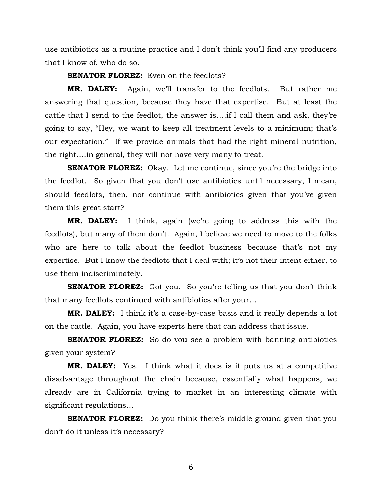use antibiotics as a routine practice and I don't think you'll find any producers that I know of, who do so.

**SENATOR FLOREZ:** Even on the feedlots?

**MR. DALEY:** Again, we'll transfer to the feedlots. But rather me answering that question, because they have that expertise. But at least the cattle that I send to the feedlot, the answer is….if I call them and ask, they're going to say, "Hey, we want to keep all treatment levels to a minimum; that's our expectation." If we provide animals that had the right mineral nutrition, the right….in general, they will not have very many to treat.

**SENATOR FLOREZ:** Okay. Let me continue, since you're the bridge into the feedlot. So given that you don't use antibiotics until necessary, I mean, should feedlots, then, not continue with antibiotics given that you've given them this great start?

**MR. DALEY:** I think, again (we're going to address this with the feedlots), but many of them don't. Again, I believe we need to move to the folks who are here to talk about the feedlot business because that's not my expertise. But I know the feedlots that I deal with; it's not their intent either, to use them indiscriminately.

**SENATOR FLOREZ:** Got you. So you're telling us that you don't think that many feedlots continued with antibiotics after your…

**MR. DALEY:** I think it's a case-by-case basis and it really depends a lot on the cattle. Again, you have experts here that can address that issue.

**SENATOR FLOREZ:** So do you see a problem with banning antibiotics given your system?

**MR. DALEY:** Yes. I think what it does is it puts us at a competitive disadvantage throughout the chain because, essentially what happens, we already are in California trying to market in an interesting climate with significant regulations…

**SENATOR FLOREZ:** Do you think there's middle ground given that you don't do it unless it's necessary?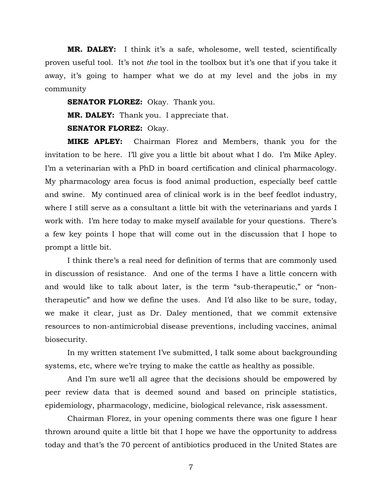**MR. DALEY:** I think it's a safe, wholesome, well tested, scientifically proven useful tool. It's not *the* tool in the toolbox but it's one that if you take it away, it's going to hamper what we do at my level and the jobs in my community

**SENATOR FLOREZ:** Okay. Thank you. **MR. DALEY:** Thank you. I appreciate that.

**SENATOR FLOREZ:** Okay.

**MIKE APLEY:** Chairman Florez and Members, thank you for the invitation to be here. I'll give you a little bit about what I do. I'm Mike Apley. I'm a veterinarian with a PhD in board certification and clinical pharmacology. My pharmacology area focus is food animal production, especially beef cattle and swine. My continued area of clinical work is in the beef feedlot industry, where I still serve as a consultant a little bit with the veterinarians and yards I work with. I'm here today to make myself available for your questions. There's a few key points I hope that will come out in the discussion that I hope to prompt a little bit.

I think there's a real need for definition of terms that are commonly used in discussion of resistance. And one of the terms I have a little concern with and would like to talk about later, is the term "sub-therapeutic," or "nontherapeutic" and how we define the uses. And I'd also like to be sure, today, we make it clear, just as Dr. Daley mentioned, that we commit extensive resources to non-antimicrobial disease preventions, including vaccines, animal biosecurity.

In my written statement I've submitted, I talk some about backgrounding systems, etc, where we're trying to make the cattle as healthy as possible.

And I'm sure we'll all agree that the decisions should be empowered by peer review data that is deemed sound and based on principle statistics, epidemiology, pharmacology, medicine, biological relevance, risk assessment.

Chairman Florez, in your opening comments there was one figure I hear thrown around quite a little bit that I hope we have the opportunity to address today and that's the 70 percent of antibiotics produced in the United States are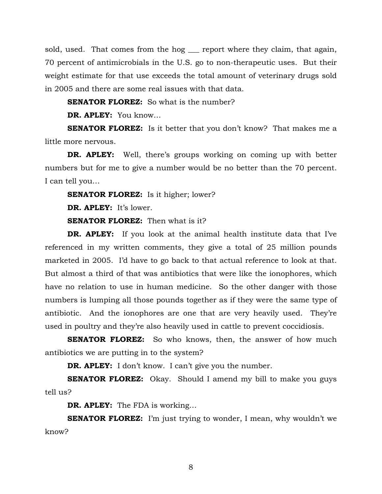sold, used. That comes from the hog <u>equal</u> report where they claim, that again, 70 percent of antimicrobials in the U.S. go to non-therapeutic uses. But their weight estimate for that use exceeds the total amount of veterinary drugs sold in 2005 and there are some real issues with that data.

**SENATOR FLOREZ:** So what is the number?

**DR. APLEY:** You know…

**SENATOR FLOREZ:** Is it better that you don't know? That makes me a little more nervous.

**DR. APLEY:** Well, there's groups working on coming up with better numbers but for me to give a number would be no better than the 70 percent. I can tell you…

**SENATOR FLOREZ:** Is it higher; lower?

**DR. APLEY:** It's lower.

**SENATOR FLOREZ:** Then what is it?

**DR. APLEY:** If you look at the animal health institute data that I've referenced in my written comments, they give a total of 25 million pounds marketed in 2005. I'd have to go back to that actual reference to look at that. But almost a third of that was antibiotics that were like the ionophores, which have no relation to use in human medicine. So the other danger with those numbers is lumping all those pounds together as if they were the same type of antibiotic. And the ionophores are one that are very heavily used. They're used in poultry and they're also heavily used in cattle to prevent coccidiosis.

**SENATOR FLOREZ:** So who knows, then, the answer of how much antibiotics we are putting in to the system?

**DR. APLEY:** I don't know. I can't give you the number.

**SENATOR FLOREZ:** Okay. Should I amend my bill to make you guys tell us?

**DR. APLEY:** The FDA is working…

**SENATOR FLOREZ:** I'm just trying to wonder, I mean, why wouldn't we know?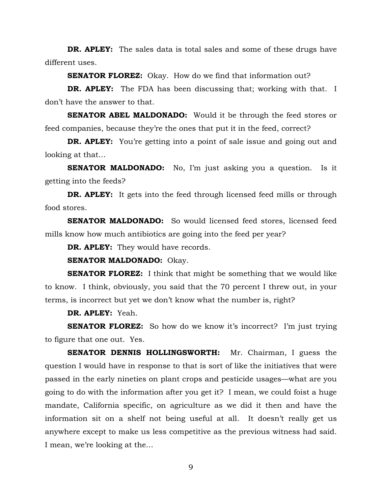**DR. APLEY:** The sales data is total sales and some of these drugs have different uses.

**SENATOR FLOREZ:** Okay. How do we find that information out?

**DR. APLEY:** The FDA has been discussing that; working with that. I don't have the answer to that.

**SENATOR ABEL MALDONADO:** Would it be through the feed stores or feed companies, because they're the ones that put it in the feed, correct?

**DR. APLEY:** You're getting into a point of sale issue and going out and looking at that…

**SENATOR MALDONADO:** No, I'm just asking you a question. Is it getting into the feeds?

**DR. APLEY:** It gets into the feed through licensed feed mills or through food stores.

**SENATOR MALDONADO:** So would licensed feed stores, licensed feed mills know how much antibiotics are going into the feed per year?

**DR. APLEY:** They would have records.

**SENATOR MALDONADO:** Okay.

**SENATOR FLOREZ:** I think that might be something that we would like to know. I think, obviously, you said that the 70 percent I threw out, in your terms, is incorrect but yet we don't know what the number is, right?

**DR. APLEY:** Yeah.

**SENATOR FLOREZ:** So how do we know it's incorrect? I'm just trying to figure that one out. Yes.

**SENATOR DENNIS HOLLINGSWORTH:** Mr. Chairman, I guess the question I would have in response to that is sort of like the initiatives that were passed in the early nineties on plant crops and pesticide usages—what are you going to do with the information after you get it? I mean, we could foist a huge mandate, California specific, on agriculture as we did it then and have the information sit on a shelf not being useful at all. It doesn't really get us anywhere except to make us less competitive as the previous witness had said. I mean, we're looking at the…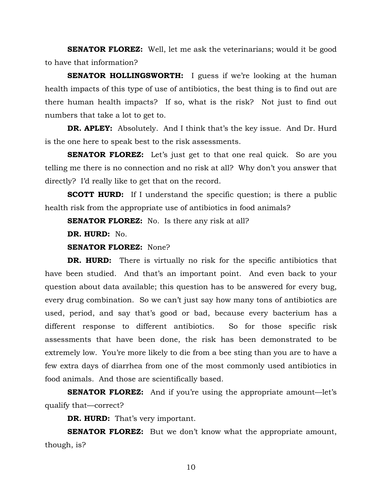**SENATOR FLOREZ:** Well, let me ask the veterinarians; would it be good to have that information?

**SENATOR HOLLINGSWORTH:** I guess if we're looking at the human health impacts of this type of use of antibiotics, the best thing is to find out are there human health impacts? If so, what is the risk? Not just to find out numbers that take a lot to get to.

**DR. APLEY:** Absolutely. And I think that's the key issue. And Dr. Hurd is the one here to speak best to the risk assessments.

**SENATOR FLOREZ:** Let's just get to that one real quick. So are you telling me there is no connection and no risk at all? Why don't you answer that directly? I'd really like to get that on the record.

**SCOTT HURD:** If I understand the specific question; is there a public health risk from the appropriate use of antibiotics in food animals?

**SENATOR FLOREZ:** No. Is there any risk at all?

**DR. HURD:** No.

**SENATOR FLOREZ:** None?

**DR. HURD:** There is virtually no risk for the specific antibiotics that have been studied. And that's an important point. And even back to your question about data available; this question has to be answered for every bug, every drug combination. So we can't just say how many tons of antibiotics are used, period, and say that's good or bad, because every bacterium has a different response to different antibiotics. So for those specific risk assessments that have been done, the risk has been demonstrated to be extremely low. You're more likely to die from a bee sting than you are to have a few extra days of diarrhea from one of the most commonly used antibiotics in food animals. And those are scientifically based.

**SENATOR FLOREZ:** And if you're using the appropriate amount—let's qualify that—correct?

**DR. HURD:** That's very important.

**SENATOR FLOREZ:** But we don't know what the appropriate amount, though, is?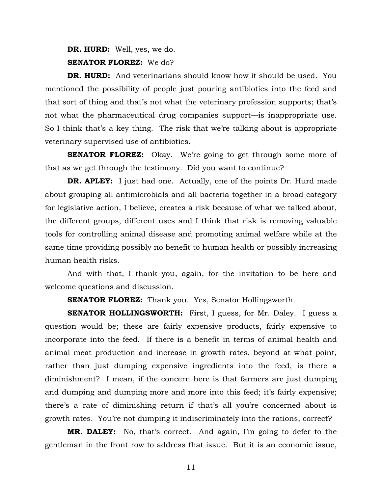**DR. HURD:** Well, yes, we do. **SENATOR FLOREZ:** We do?

**DR. HURD:** And veterinarians should know how it should be used. You mentioned the possibility of people just pouring antibiotics into the feed and that sort of thing and that's not what the veterinary profession supports; that's not what the pharmaceutical drug companies support—is inappropriate use. So I think that's a key thing. The risk that we're talking about is appropriate veterinary supervised use of antibiotics.

**SENATOR FLOREZ:** Okay. We're going to get through some more of that as we get through the testimony. Did you want to continue?

**DR. APLEY:** I just had one. Actually, one of the points Dr. Hurd made about grouping all antimicrobials and all bacteria together in a broad category for legislative action, I believe, creates a risk because of what we talked about, the different groups, different uses and I think that risk is removing valuable tools for controlling animal disease and promoting animal welfare while at the same time providing possibly no benefit to human health or possibly increasing human health risks.

And with that, I thank you, again, for the invitation to be here and welcome questions and discussion.

**SENATOR FLOREZ:** Thank you. Yes, Senator Hollingsworth.

**SENATOR HOLLINGSWORTH:** First, I guess, for Mr. Daley. I guess a question would be; these are fairly expensive products, fairly expensive to incorporate into the feed. If there is a benefit in terms of animal health and animal meat production and increase in growth rates, beyond at what point, rather than just dumping expensive ingredients into the feed, is there a diminishment? I mean, if the concern here is that farmers are just dumping and dumping and dumping more and more into this feed; it's fairly expensive; there's a rate of diminishing return if that's all you're concerned about is growth rates. You're not dumping it indiscriminately into the rations, correct?

**MR. DALEY:** No, that's correct. And again, I'm going to defer to the gentleman in the front row to address that issue. But it is an economic issue,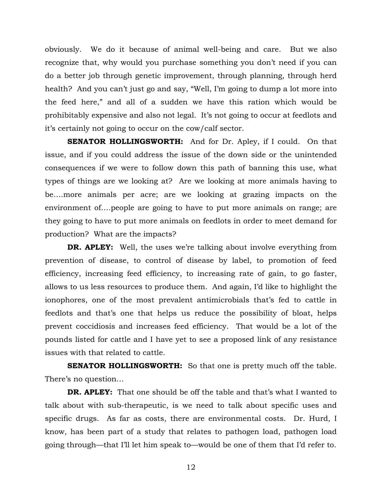obviously. We do it because of animal well-being and care. But we also recognize that, why would you purchase something you don't need if you can do a better job through genetic improvement, through planning, through herd health? And you can't just go and say, "Well, I'm going to dump a lot more into the feed here," and all of a sudden we have this ration which would be prohibitably expensive and also not legal. It's not going to occur at feedlots and it's certainly not going to occur on the cow/calf sector.

**SENATOR HOLLINGSWORTH:** And for Dr. Apley, if I could. On that issue, and if you could address the issue of the down side or the unintended consequences if we were to follow down this path of banning this use, what types of things are we looking at? Are we looking at more animals having to be….more animals per acre; are we looking at grazing impacts on the environment of….people are going to have to put more animals on range; are they going to have to put more animals on feedlots in order to meet demand for production? What are the impacts?

**DR. APLEY:** Well, the uses we're talking about involve everything from prevention of disease, to control of disease by label, to promotion of feed efficiency, increasing feed efficiency, to increasing rate of gain, to go faster, allows to us less resources to produce them. And again, I'd like to highlight the ionophores, one of the most prevalent antimicrobials that's fed to cattle in feedlots and that's one that helps us reduce the possibility of bloat, helps prevent coccidiosis and increases feed efficiency. That would be a lot of the pounds listed for cattle and I have yet to see a proposed link of any resistance issues with that related to cattle.

**SENATOR HOLLINGSWORTH:** So that one is pretty much off the table. There's no question…

**DR. APLEY:** That one should be off the table and that's what I wanted to talk about with sub-therapeutic, is we need to talk about specific uses and specific drugs. As far as costs, there are environmental costs. Dr. Hurd, I know, has been part of a study that relates to pathogen load, pathogen load going through—that I'll let him speak to—would be one of them that I'd refer to.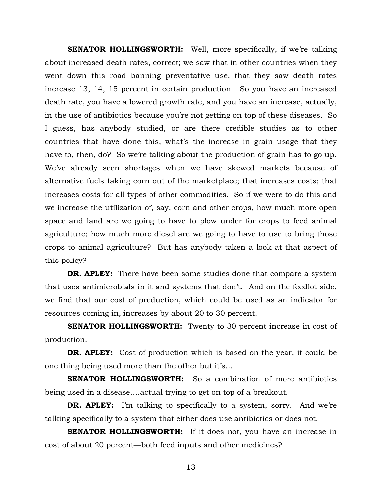**SENATOR HOLLINGSWORTH:** Well, more specifically, if we're talking about increased death rates, correct; we saw that in other countries when they went down this road banning preventative use, that they saw death rates increase 13, 14, 15 percent in certain production. So you have an increased death rate, you have a lowered growth rate, and you have an increase, actually, in the use of antibiotics because you're not getting on top of these diseases. So I guess, has anybody studied, or are there credible studies as to other countries that have done this, what's the increase in grain usage that they have to, then, do? So we're talking about the production of grain has to go up. We've already seen shortages when we have skewed markets because of alternative fuels taking corn out of the marketplace; that increases costs; that increases costs for all types of other commodities. So if we were to do this and we increase the utilization of, say, corn and other crops, how much more open space and land are we going to have to plow under for crops to feed animal agriculture; how much more diesel are we going to have to use to bring those crops to animal agriculture? But has anybody taken a look at that aspect of this policy?

**DR. APLEY:** There have been some studies done that compare a system that uses antimicrobials in it and systems that don't. And on the feedlot side, we find that our cost of production, which could be used as an indicator for resources coming in, increases by about 20 to 30 percent.

**SENATOR HOLLINGSWORTH:** Twenty to 30 percent increase in cost of production.

**DR. APLEY:** Cost of production which is based on the year, it could be one thing being used more than the other but it's…

**SENATOR HOLLINGSWORTH:** So a combination of more antibiotics being used in a disease….actual trying to get on top of a breakout.

**DR. APLEY:** I'm talking to specifically to a system, sorry. And we're talking specifically to a system that either does use antibiotics or does not.

**SENATOR HOLLINGSWORTH:** If it does not, you have an increase in cost of about 20 percent—both feed inputs and other medicines?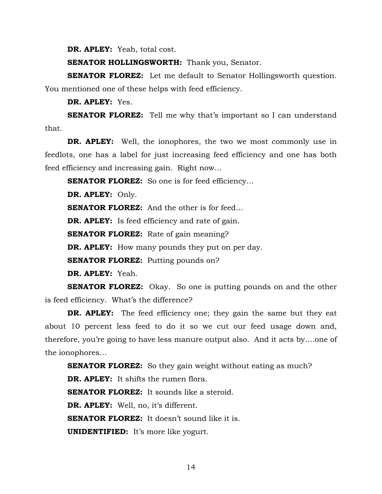**DR. APLEY:** Yeah, total cost.

**SENATOR HOLLINGSWORTH:** Thank you, Senator.

**SENATOR FLOREZ:** Let me default to Senator Hollingsworth question. You mentioned one of these helps with feed efficiency.

**DR. APLEY:** Yes.

**SENATOR FLOREZ:** Tell me why that's important so I can understand that.

**DR. APLEY:** Well, the ionophores, the two we most commonly use in feedlots, one has a label for just increasing feed efficiency and one has both feed efficiency and increasing gain. Right now…

**SENATOR FLOREZ:** So one is for feed efficiency...

**DR. APLEY:** Only.

**SENATOR FLOREZ:** And the other is for feed...

**DR. APLEY:** Is feed efficiency and rate of gain.

**SENATOR FLOREZ:** Rate of gain meaning?

**DR. APLEY:** How many pounds they put on per day.

**SENATOR FLOREZ:** Putting pounds on?

**DR. APLEY:** Yeah.

**SENATOR FLOREZ:** Okay. So one is putting pounds on and the other is feed efficiency. What's the difference?

**DR. APLEY:** The feed efficiency one; they gain the same but they eat about 10 percent less feed to do it so we cut our feed usage down and, therefore, you're going to have less manure output also. And it acts by….one of the ionophores…

**SENATOR FLOREZ:** So they gain weight without eating as much?

**DR. APLEY:** It shifts the rumen flora.

**SENATOR FLOREZ:** It sounds like a steroid.

**DR. APLEY:** Well, no, it's different.

**SENATOR FLOREZ:** It doesn't sound like it is.

**UNIDENTIFIED:** It's more like yogurt.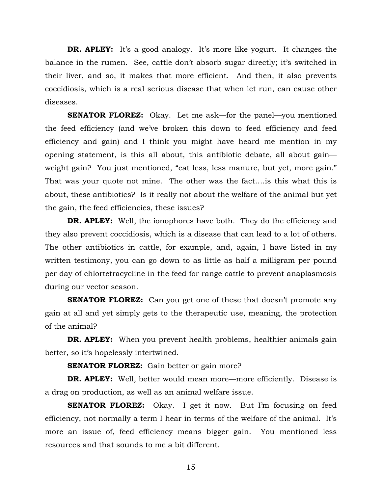**DR. APLEY:** It's a good analogy. It's more like yogurt. It changes the balance in the rumen. See, cattle don't absorb sugar directly; it's switched in their liver, and so, it makes that more efficient. And then, it also prevents coccidiosis, which is a real serious disease that when let run, can cause other diseases.

**SENATOR FLOREZ:** Okay. Let me ask—for the panel—you mentioned the feed efficiency (and we've broken this down to feed efficiency and feed efficiency and gain) and I think you might have heard me mention in my opening statement, is this all about, this antibiotic debate, all about gain weight gain? You just mentioned, "eat less, less manure, but yet, more gain." That was your quote not mine. The other was the fact….is this what this is about, these antibiotics? Is it really not about the welfare of the animal but yet the gain, the feed efficiencies, these issues?

**DR. APLEY:** Well, the ionophores have both. They do the efficiency and they also prevent coccidiosis, which is a disease that can lead to a lot of others. The other antibiotics in cattle, for example, and, again, I have listed in my written testimony, you can go down to as little as half a milligram per pound per day of chlortetracycline in the feed for range cattle to prevent anaplasmosis during our vector season.

**SENATOR FLOREZ:** Can you get one of these that doesn't promote any gain at all and yet simply gets to the therapeutic use, meaning, the protection of the animal?

**DR. APLEY:** When you prevent health problems, healthier animals gain better, so it's hopelessly intertwined.

**SENATOR FLOREZ:** Gain better or gain more?

**DR. APLEY:** Well, better would mean more—more efficiently. Disease is a drag on production, as well as an animal welfare issue.

**SENATOR FLOREZ:** Okay. I get it now. But I'm focusing on feed efficiency, not normally a term I hear in terms of the welfare of the animal. It's more an issue of, feed efficiency means bigger gain. You mentioned less resources and that sounds to me a bit different.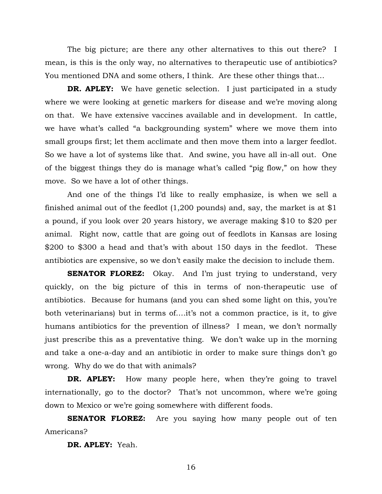The big picture; are there any other alternatives to this out there? I mean, is this is the only way, no alternatives to therapeutic use of antibiotics? You mentioned DNA and some others, I think. Are these other things that…

**DR. APLEY:** We have genetic selection. I just participated in a study where we were looking at genetic markers for disease and we're moving along on that. We have extensive vaccines available and in development. In cattle, we have what's called "a backgrounding system" where we move them into small groups first; let them acclimate and then move them into a larger feedlot. So we have a lot of systems like that. And swine, you have all in-all out. One of the biggest things they do is manage what's called "pig flow," on how they move. So we have a lot of other things.

And one of the things I'd like to really emphasize, is when we sell a finished animal out of the feedlot  $(1,200$  pounds) and, say, the market is at \$1 a pound, if you look over 20 years history, we average making \$10 to \$20 per animal. Right now, cattle that are going out of feedlots in Kansas are losing \$200 to \$300 a head and that's with about 150 days in the feedlot. These antibiotics are expensive, so we don't easily make the decision to include them.

**SENATOR FLOREZ:** Okay. And I'm just trying to understand, very quickly, on the big picture of this in terms of non-therapeutic use of antibiotics. Because for humans (and you can shed some light on this, you're both veterinarians) but in terms of….it's not a common practice, is it, to give humans antibiotics for the prevention of illness? I mean, we don't normally just prescribe this as a preventative thing. We don't wake up in the morning and take a one-a-day and an antibiotic in order to make sure things don't go wrong. Why do we do that with animals?

**DR. APLEY:** How many people here, when they're going to travel internationally, go to the doctor? That's not uncommon, where we're going down to Mexico or we're going somewhere with different foods.

**SENATOR FLOREZ:** Are you saying how many people out of ten Americans?

**DR. APLEY:** Yeah.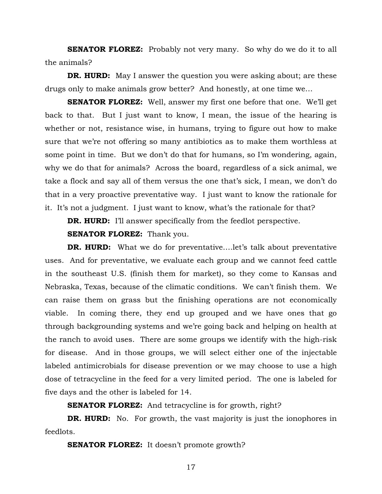**SENATOR FLOREZ:** Probably not very many. So why do we do it to all the animals?

**DR. HURD:** May I answer the question you were asking about; are these drugs only to make animals grow better? And honestly, at one time we…

**SENATOR FLOREZ:** Well, answer my first one before that one. We'll get back to that. But I just want to know, I mean, the issue of the hearing is whether or not, resistance wise, in humans, trying to figure out how to make sure that we're not offering so many antibiotics as to make them worthless at some point in time. But we don't do that for humans, so I'm wondering, again, why we do that for animals? Across the board, regardless of a sick animal, we take a flock and say all of them versus the one that's sick, I mean, we don't do that in a very proactive preventative way. I just want to know the rationale for it. It's not a judgment. I just want to know, what's the rationale for that?

**DR. HURD:** I'll answer specifically from the feedlot perspective.

**SENATOR FLOREZ:** Thank you.

**DR. HURD:** What we do for preventative.... let's talk about preventative uses. And for preventative, we evaluate each group and we cannot feed cattle in the southeast U.S. (finish them for market), so they come to Kansas and Nebraska, Texas, because of the climatic conditions. We can't finish them. We can raise them on grass but the finishing operations are not economically viable. In coming there, they end up grouped and we have ones that go through backgrounding systems and we're going back and helping on health at the ranch to avoid uses. There are some groups we identify with the high-risk for disease. And in those groups, we will select either one of the injectable labeled antimicrobials for disease prevention or we may choose to use a high dose of tetracycline in the feed for a very limited period. The one is labeled for five days and the other is labeled for 14.

**SENATOR FLOREZ:** And tetracycline is for growth, right?

**DR. HURD:** No. For growth, the vast majority is just the ionophores in feedlots.

**SENATOR FLOREZ:** It doesn't promote growth?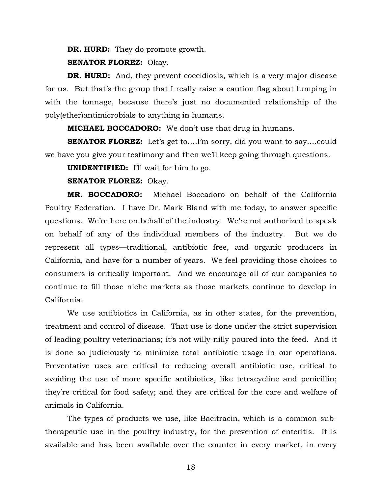**DR. HURD:** They do promote growth.

**SENATOR FLOREZ:** Okay.

**DR. HURD:** And, they prevent coccidiosis, which is a very major disease for us. But that's the group that I really raise a caution flag about lumping in with the tonnage, because there's just no documented relationship of the poly(ether)antimicrobials to anything in humans.

**MICHAEL BOCCADORO:** We don't use that drug in humans.

**SENATOR FLOREZ:** Let's get to....I'm sorry, did you want to say....could we have you give your testimony and then we'll keep going through questions.

**UNIDENTIFIED:** I'll wait for him to go.

**SENATOR FLOREZ:** Okay.

**MR. BOCCADORO:** Michael Boccadoro on behalf of the California Poultry Federation. I have Dr. Mark Bland with me today, to answer specific questions. We're here on behalf of the industry. We're not authorized to speak on behalf of any of the individual members of the industry. But we do represent all types—traditional, antibiotic free, and organic producers in California, and have for a number of years. We feel providing those choices to consumers is critically important. And we encourage all of our companies to continue to fill those niche markets as those markets continue to develop in California.

We use antibiotics in California, as in other states, for the prevention, treatment and control of disease. That use is done under the strict supervision of leading poultry veterinarians; it's not willy-nilly poured into the feed. And it is done so judiciously to minimize total antibiotic usage in our operations. Preventative uses are critical to reducing overall antibiotic use, critical to avoiding the use of more specific antibiotics, like tetracycline and penicillin; they're critical for food safety; and they are critical for the care and welfare of animals in California.

The types of products we use, like Bacitracin, which is a common subtherapeutic use in the poultry industry, for the prevention of enteritis. It is available and has been available over the counter in every market, in every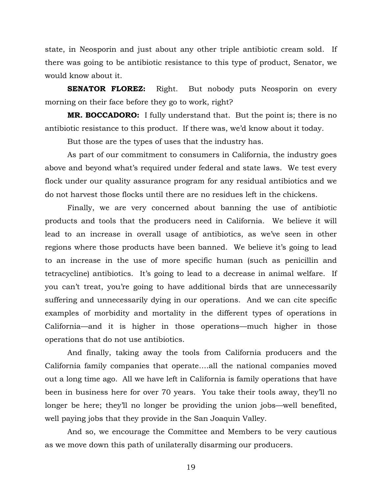state, in Neosporin and just about any other triple antibiotic cream sold. If there was going to be antibiotic resistance to this type of product, Senator, we would know about it.

**SENATOR FLOREZ:** Right. But nobody puts Neosporin on every morning on their face before they go to work, right?

**MR. BOCCADORO:** I fully understand that. But the point is; there is no antibiotic resistance to this product. If there was, we'd know about it today.

But those are the types of uses that the industry has.

As part of our commitment to consumers in California, the industry goes above and beyond what's required under federal and state laws. We test every flock under our quality assurance program for any residual antibiotics and we do not harvest those flocks until there are no residues left in the chickens.

Finally, we are very concerned about banning the use of antibiotic products and tools that the producers need in California. We believe it will lead to an increase in overall usage of antibiotics, as we've seen in other regions where those products have been banned. We believe it's going to lead to an increase in the use of more specific human (such as penicillin and tetracycline) antibiotics. It's going to lead to a decrease in animal welfare. If you can't treat, you're going to have additional birds that are unnecessarily suffering and unnecessarily dying in our operations. And we can cite specific examples of morbidity and mortality in the different types of operations in California—and it is higher in those operations—much higher in those operations that do not use antibiotics.

And finally, taking away the tools from California producers and the California family companies that operate….all the national companies moved out a long time ago. All we have left in California is family operations that have been in business here for over 70 years. You take their tools away, they'll no longer be here; they'll no longer be providing the union jobs—well benefited, well paying jobs that they provide in the San Joaquin Valley.

And so, we encourage the Committee and Members to be very cautious as we move down this path of unilaterally disarming our producers.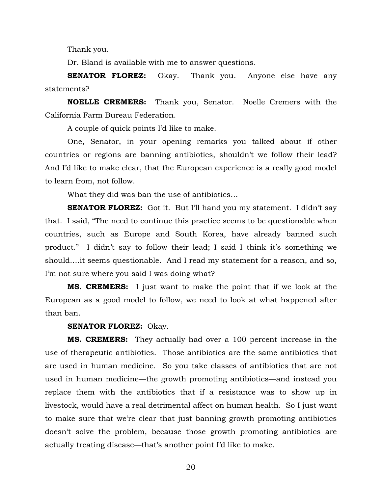Thank you.

Dr. Bland is available with me to answer questions.

**SENATOR FLOREZ:** Okay. Thank you. Anyone else have any statements?

**NOELLE CREMERS:** Thank you, Senator. Noelle Cremers with the California Farm Bureau Federation.

A couple of quick points I'd like to make.

One, Senator, in your opening remarks you talked about if other countries or regions are banning antibiotics, shouldn't we follow their lead? And I'd like to make clear, that the European experience is a really good model to learn from, not follow.

What they did was ban the use of antibiotics…

**SENATOR FLOREZ:** Got it. But I'll hand you my statement. I didn't say that. I said, "The need to continue this practice seems to be questionable when countries, such as Europe and South Korea, have already banned such product." I didn't say to follow their lead; I said I think it's something we should….it seems questionable. And I read my statement for a reason, and so, I'm not sure where you said I was doing what?

**MS. CREMERS:** I just want to make the point that if we look at the European as a good model to follow, we need to look at what happened after than ban.

#### **SENATOR FLOREZ:** Okay.

**MS. CREMERS:** They actually had over a 100 percent increase in the use of therapeutic antibiotics. Those antibiotics are the same antibiotics that are used in human medicine. So you take classes of antibiotics that are not used in human medicine—the growth promoting antibiotics—and instead you replace them with the antibiotics that if a resistance was to show up in livestock, would have a real detrimental affect on human health. So I just want to make sure that we're clear that just banning growth promoting antibiotics doesn't solve the problem, because those growth promoting antibiotics are actually treating disease—that's another point I'd like to make.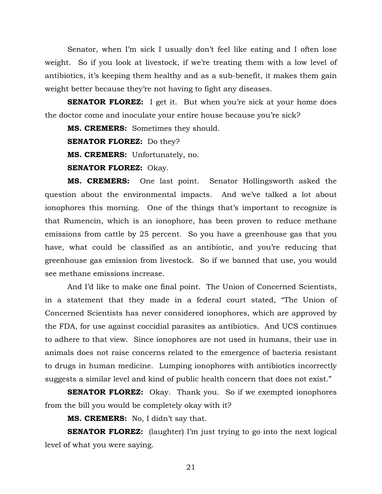Senator, when I'm sick I usually don't feel like eating and I often lose weight. So if you look at livestock, if we're treating them with a low level of antibiotics, it's keeping them healthy and as a sub-benefit, it makes them gain weight better because they're not having to fight any diseases.

**SENATOR FLOREZ:** I get it. But when you're sick at your home does the doctor come and inoculate your entire house because you're sick?

**MS. CREMERS:** Sometimes they should.

**SENATOR FLOREZ:** Do they?

**MS. CREMERS:** Unfortunately, no.

**SENATOR FLOREZ:** Okay.

**MS. CREMERS:** One last point. Senator Hollingsworth asked the question about the environmental impacts. And we've talked a lot about ionophores this morning. One of the things that's important to recognize is that Rumencin, which is an ionophore, has been proven to reduce methane emissions from cattle by 25 percent. So you have a greenhouse gas that you have, what could be classified as an antibiotic, and you're reducing that greenhouse gas emission from livestock. So if we banned that use, you would see methane emissions increase.

 And I'd like to make one final point. The Union of Concerned Scientists, in a statement that they made in a federal court stated, "The Union of Concerned Scientists has never considered ionophores, which are approved by the FDA, for use against coccidial parasites as antibiotics. And UCS continues to adhere to that view. Since ionophores are not used in humans, their use in animals does not raise concerns related to the emergence of bacteria resistant to drugs in human medicine. Lumping ionophores with antibiotics incorrectly suggests a similar level and kind of public health concern that does not exist."

**SENATOR FLOREZ:** Okay. Thank you. So if we exempted ionophores from the bill you would be completely okay with it?

 **MS. CREMERS:** No, I didn't say that.

**SENATOR FLOREZ:** (laughter) I'm just trying to go into the next logical level of what you were saying.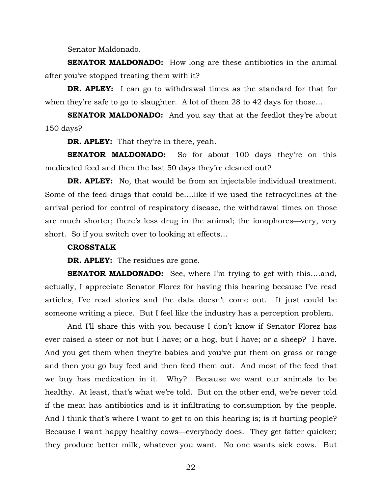Senator Maldonado.

**SENATOR MALDONADO:** How long are these antibiotics in the animal after you've stopped treating them with it?

**DR. APLEY:** I can go to withdrawal times as the standard for that for when they're safe to go to slaughter. A lot of them 28 to 42 days for those…

**SENATOR MALDONADO:** And you say that at the feedlot they're about 150 days?

**DR. APLEY:** That they're in there, yeah.

**SENATOR MALDONADO:** So for about 100 days they're on this medicated feed and then the last 50 days they're cleaned out?

**DR. APLEY:** No, that would be from an injectable individual treatment. Some of the feed drugs that could be….like if we used the tetracyclines at the arrival period for control of respiratory disease, the withdrawal times on those are much shorter; there's less drug in the animal; the ionophores—very, very short. So if you switch over to looking at effects…

#### **CROSSTALK**

**DR. APLEY:** The residues are gone.

**SENATOR MALDONADO:** See, where I'm trying to get with this….and, actually, I appreciate Senator Florez for having this hearing because I've read articles, I've read stories and the data doesn't come out. It just could be someone writing a piece. But I feel like the industry has a perception problem.

And I'll share this with you because I don't know if Senator Florez has ever raised a steer or not but I have; or a hog, but I have; or a sheep? I have. And you get them when they're babies and you've put them on grass or range and then you go buy feed and then feed them out. And most of the feed that we buy has medication in it. Why? Because we want our animals to be healthy. At least, that's what we're told. But on the other end, we're never told if the meat has antibiotics and is it infiltrating to consumption by the people. And I think that's where I want to get to on this hearing is; is it hurting people? Because I want happy healthy cows—everybody does. They get fatter quicker; they produce better milk, whatever you want. No one wants sick cows. But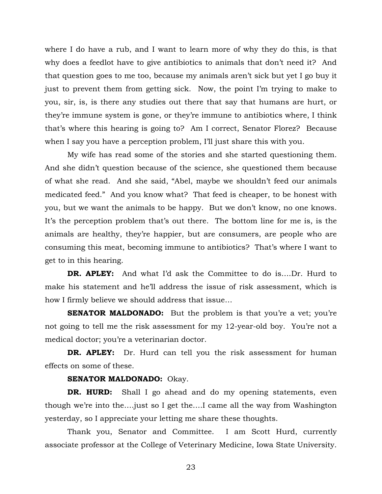where I do have a rub, and I want to learn more of why they do this, is that why does a feedlot have to give antibiotics to animals that don't need it? And that question goes to me too, because my animals aren't sick but yet I go buy it just to prevent them from getting sick. Now, the point I'm trying to make to you, sir, is, is there any studies out there that say that humans are hurt, or they're immune system is gone, or they're immune to antibiotics where, I think that's where this hearing is going to? Am I correct, Senator Florez? Because when I say you have a perception problem, I'll just share this with you.

My wife has read some of the stories and she started questioning them. And she didn't question because of the science, she questioned them because of what she read. And she said, "Abel, maybe we shouldn't feed our animals medicated feed." And you know what? That feed is cheaper, to be honest with you, but we want the animals to be happy. But we don't know, no one knows. It's the perception problem that's out there. The bottom line for me is, is the animals are healthy, they're happier, but are consumers, are people who are consuming this meat, becoming immune to antibiotics? That's where I want to get to in this hearing.

**DR. APLEY:** And what I'd ask the Committee to do is….Dr. Hurd to make his statement and he'll address the issue of risk assessment, which is how I firmly believe we should address that issue…

**SENATOR MALDONADO:** But the problem is that you're a vet; you're not going to tell me the risk assessment for my 12-year-old boy. You're not a medical doctor; you're a veterinarian doctor.

**DR. APLEY:** Dr. Hurd can tell you the risk assessment for human effects on some of these.

#### **SENATOR MALDONADO:** Okay.

**DR. HURD:** Shall I go ahead and do my opening statements, even though we're into the….just so I get the….I came all the way from Washington yesterday, so I appreciate your letting me share these thoughts.

Thank you, Senator and Committee. I am Scott Hurd, currently associate professor at the College of Veterinary Medicine, Iowa State University.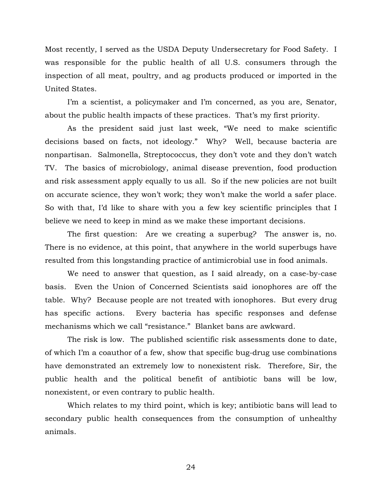Most recently, I served as the USDA Deputy Undersecretary for Food Safety. I was responsible for the public health of all U.S. consumers through the inspection of all meat, poultry, and ag products produced or imported in the United States.

I'm a scientist, a policymaker and I'm concerned, as you are, Senator, about the public health impacts of these practices. That's my first priority.

As the president said just last week, "We need to make scientific decisions based on facts, not ideology." Why? Well, because bacteria are nonpartisan. Salmonella, Streptococcus, they don't vote and they don't watch TV. The basics of microbiology, animal disease prevention, food production and risk assessment apply equally to us all. So if the new policies are not built on accurate science, they won't work; they won't make the world a safer place. So with that, I'd like to share with you a few key scientific principles that I believe we need to keep in mind as we make these important decisions.

The first question: Are we creating a superbug? The answer is, no. There is no evidence, at this point, that anywhere in the world superbugs have resulted from this longstanding practice of antimicrobial use in food animals.

We need to answer that question, as I said already, on a case-by-case basis. Even the Union of Concerned Scientists said ionophores are off the table. Why? Because people are not treated with ionophores. But every drug has specific actions. Every bacteria has specific responses and defense mechanisms which we call "resistance." Blanket bans are awkward.

The risk is low. The published scientific risk assessments done to date, of which I'm a coauthor of a few, show that specific bug-drug use combinations have demonstrated an extremely low to nonexistent risk. Therefore, Sir, the public health and the political benefit of antibiotic bans will be low, nonexistent, or even contrary to public health.

Which relates to my third point, which is key; antibiotic bans will lead to secondary public health consequences from the consumption of unhealthy animals.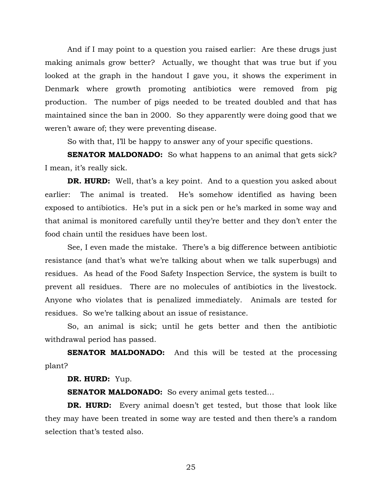And if I may point to a question you raised earlier: Are these drugs just making animals grow better? Actually, we thought that was true but if you looked at the graph in the handout I gave you, it shows the experiment in Denmark where growth promoting antibiotics were removed from pig production. The number of pigs needed to be treated doubled and that has maintained since the ban in 2000. So they apparently were doing good that we weren't aware of; they were preventing disease.

So with that, I'll be happy to answer any of your specific questions.

**SENATOR MALDONADO:** So what happens to an animal that gets sick? I mean, it's really sick.

**DR. HURD:** Well, that's a key point. And to a question you asked about earlier: The animal is treated. He's somehow identified as having been exposed to antibiotics. He's put in a sick pen or he's marked in some way and that animal is monitored carefully until they're better and they don't enter the food chain until the residues have been lost.

See, I even made the mistake. There's a big difference between antibiotic resistance (and that's what we're talking about when we talk superbugs) and residues. As head of the Food Safety Inspection Service, the system is built to prevent all residues. There are no molecules of antibiotics in the livestock. Anyone who violates that is penalized immediately. Animals are tested for residues. So we're talking about an issue of resistance.

So, an animal is sick; until he gets better and then the antibiotic withdrawal period has passed.

**SENATOR MALDONADO:** And this will be tested at the processing plant?

**DR. HURD:** Yup.

**SENATOR MALDONADO:** So every animal gets tested...

**DR. HURD:** Every animal doesn't get tested, but those that look like they may have been treated in some way are tested and then there's a random selection that's tested also.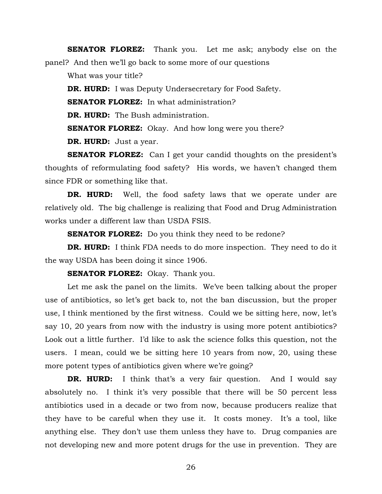**SENATOR FLOREZ:** Thank you. Let me ask; anybody else on the panel? And then we'll go back to some more of our questions

What was your title?

**DR. HURD:** I was Deputy Undersecretary for Food Safety.

**SENATOR FLOREZ:** In what administration?

**DR. HURD:** The Bush administration.

**SENATOR FLOREZ:** Okay. And how long were you there?

**DR. HURD:** Just a year.

**SENATOR FLOREZ:** Can I get your candid thoughts on the president's thoughts of reformulating food safety? His words, we haven't changed them since FDR or something like that.

**DR. HURD:** Well, the food safety laws that we operate under are relatively old. The big challenge is realizing that Food and Drug Administration works under a different law than USDA FSIS.

**SENATOR FLOREZ:** Do you think they need to be redone?

**DR. HURD:** I think FDA needs to do more inspection. They need to do it the way USDA has been doing it since 1906.

**SENATOR FLOREZ:** Okay. Thank you.

Let me ask the panel on the limits. We've been talking about the proper use of antibiotics, so let's get back to, not the ban discussion, but the proper use, I think mentioned by the first witness. Could we be sitting here, now, let's say 10, 20 years from now with the industry is using more potent antibiotics? Look out a little further. I'd like to ask the science folks this question, not the users. I mean, could we be sitting here 10 years from now, 20, using these more potent types of antibiotics given where we're going?

**DR. HURD:** I think that's a very fair question. And I would say absolutely no. I think it's very possible that there will be 50 percent less antibiotics used in a decade or two from now, because producers realize that they have to be careful when they use it. It costs money. It's a tool, like anything else. They don't use them unless they have to. Drug companies are not developing new and more potent drugs for the use in prevention. They are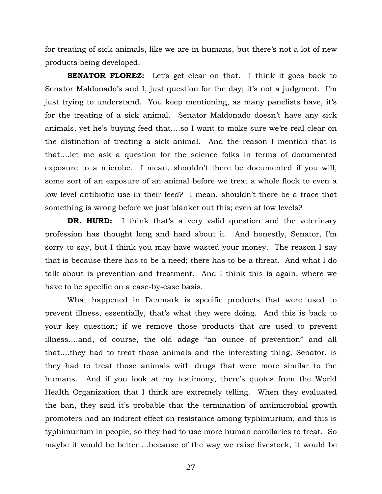for treating of sick animals, like we are in humans, but there's not a lot of new products being developed.

**SENATOR FLOREZ:** Let's get clear on that. I think it goes back to Senator Maldonado's and I, just question for the day; it's not a judgment. I'm just trying to understand. You keep mentioning, as many panelists have, it's for the treating of a sick animal. Senator Maldonado doesn't have any sick animals, yet he's buying feed that….so I want to make sure we're real clear on the distinction of treating a sick animal. And the reason I mention that is that….let me ask a question for the science folks in terms of documented exposure to a microbe. I mean, shouldn't there be documented if you will, some sort of an exposure of an animal before we treat a whole flock to even a low level antibiotic use in their feed? I mean, shouldn't there be a trace that something is wrong before we just blanket out this; even at low levels?

**DR. HURD:** I think that's a very valid question and the veterinary profession has thought long and hard about it. And honestly, Senator, I'm sorry to say, but I think you may have wasted your money. The reason I say that is because there has to be a need; there has to be a threat. And what I do talk about is prevention and treatment. And I think this is again, where we have to be specific on a case-by-case basis.

What happened in Denmark is specific products that were used to prevent illness, essentially, that's what they were doing. And this is back to your key question; if we remove those products that are used to prevent illness….and, of course, the old adage "an ounce of prevention" and all that….they had to treat those animals and the interesting thing, Senator, is they had to treat those animals with drugs that were more similar to the humans. And if you look at my testimony, there's quotes from the World Health Organization that I think are extremely telling. When they evaluated the ban, they said it's probable that the termination of antimicrobial growth promoters had an indirect effect on resistance among typhimurium, and this is typhimurium in people, so they had to use more human corollaries to treat. So maybe it would be better….because of the way we raise livestock, it would be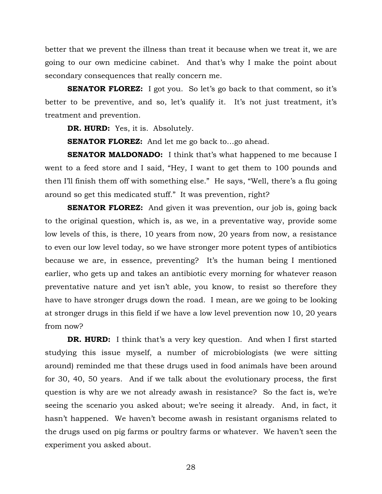better that we prevent the illness than treat it because when we treat it, we are going to our own medicine cabinet. And that's why I make the point about secondary consequences that really concern me.

**SENATOR FLOREZ:** I got you. So let's go back to that comment, so it's better to be preventive, and so, let's qualify it. It's not just treatment, it's treatment and prevention.

**DR. HURD:** Yes, it is. Absolutely.

**SENATOR FLOREZ:** And let me go back to…go ahead.

**SENATOR MALDONADO:** I think that's what happened to me because I went to a feed store and I said, "Hey, I want to get them to 100 pounds and then I'll finish them off with something else." He says, "Well, there's a flu going around so get this medicated stuff." It was prevention, right?

**SENATOR FLOREZ:** And given it was prevention, our job is, going back to the original question, which is, as we, in a preventative way, provide some low levels of this, is there, 10 years from now, 20 years from now, a resistance to even our low level today, so we have stronger more potent types of antibiotics because we are, in essence, preventing? It's the human being I mentioned earlier, who gets up and takes an antibiotic every morning for whatever reason preventative nature and yet isn't able, you know, to resist so therefore they have to have stronger drugs down the road. I mean, are we going to be looking at stronger drugs in this field if we have a low level prevention now 10, 20 years from now?

**DR. HURD:** I think that's a very key question. And when I first started studying this issue myself, a number of microbiologists (we were sitting around) reminded me that these drugs used in food animals have been around for 30, 40, 50 years. And if we talk about the evolutionary process, the first question is why are we not already awash in resistance? So the fact is, we're seeing the scenario you asked about; we're seeing it already. And, in fact, it hasn't happened. We haven't become awash in resistant organisms related to the drugs used on pig farms or poultry farms or whatever. We haven't seen the experiment you asked about.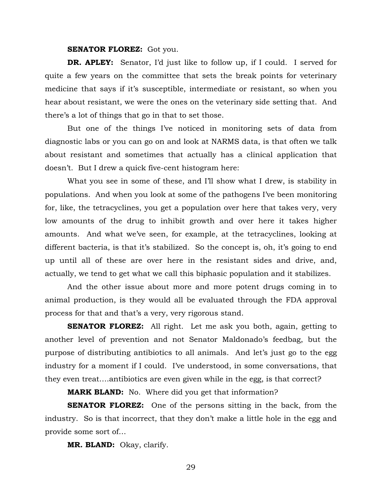#### **SENATOR FLOREZ:** Got you.

**DR. APLEY:** Senator, I'd just like to follow up, if I could. I served for quite a few years on the committee that sets the break points for veterinary medicine that says if it's susceptible, intermediate or resistant, so when you hear about resistant, we were the ones on the veterinary side setting that. And there's a lot of things that go in that to set those.

But one of the things I've noticed in monitoring sets of data from diagnostic labs or you can go on and look at NARMS data, is that often we talk about resistant and sometimes that actually has a clinical application that doesn't. But I drew a quick five-cent histogram here:

What you see in some of these, and I'll show what I drew, is stability in populations. And when you look at some of the pathogens I've been monitoring for, like, the tetracyclines, you get a population over here that takes very, very low amounts of the drug to inhibit growth and over here it takes higher amounts. And what we've seen, for example, at the tetracyclines, looking at different bacteria, is that it's stabilized. So the concept is, oh, it's going to end up until all of these are over here in the resistant sides and drive, and, actually, we tend to get what we call this biphasic population and it stabilizes.

And the other issue about more and more potent drugs coming in to animal production, is they would all be evaluated through the FDA approval process for that and that's a very, very rigorous stand.

**SENATOR FLOREZ:** All right. Let me ask you both, again, getting to another level of prevention and not Senator Maldonado's feedbag, but the purpose of distributing antibiotics to all animals. And let's just go to the egg industry for a moment if I could. I've understood, in some conversations, that they even treat….antibiotics are even given while in the egg, is that correct?

**MARK BLAND:** No. Where did you get that information?

**SENATOR FLOREZ:** One of the persons sitting in the back, from the industry. So is that incorrect, that they don't make a little hole in the egg and provide some sort of…

**MR. BLAND:** Okay, clarify.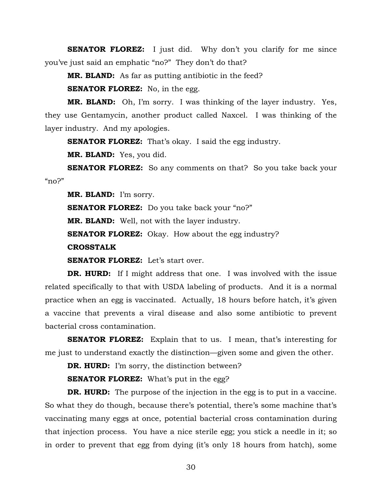**SENATOR FLOREZ:** I just did. Why don't you clarify for me since you've just said an emphatic "no?" They don't do that?

**MR. BLAND:** As far as putting antibiotic in the feed?

**SENATOR FLOREZ:** No, in the egg.

**MR. BLAND:** Oh, I'm sorry. I was thinking of the layer industry. Yes, they use Gentamycin, another product called Naxcel. I was thinking of the layer industry. And my apologies.

**SENATOR FLOREZ:** That's okay. I said the egg industry.

**MR. BLAND:** Yes, you did.

**SENATOR FLOREZ:** So any comments on that? So you take back your  $m^2$ 

**MR. BLAND:** I'm sorry.

**SENATOR FLOREZ:** Do you take back your "no?"

**MR. BLAND:** Well, not with the layer industry.

**SENATOR FLOREZ:** Okay. How about the egg industry?

**CROSSTALK** 

**SENATOR FLOREZ:** Let's start over.

**DR. HURD:** If I might address that one. I was involved with the issue related specifically to that with USDA labeling of products. And it is a normal practice when an egg is vaccinated. Actually, 18 hours before hatch, it's given a vaccine that prevents a viral disease and also some antibiotic to prevent bacterial cross contamination.

**SENATOR FLOREZ:** Explain that to us. I mean, that's interesting for me just to understand exactly the distinction—given some and given the other.

**DR. HURD:** I'm sorry, the distinction between?

**SENATOR FLOREZ:** What's put in the egg?

**DR. HURD:** The purpose of the injection in the egg is to put in a vaccine. So what they do though, because there's potential, there's some machine that's vaccinating many eggs at once, potential bacterial cross contamination during that injection process. You have a nice sterile egg; you stick a needle in it; so in order to prevent that egg from dying (it's only 18 hours from hatch), some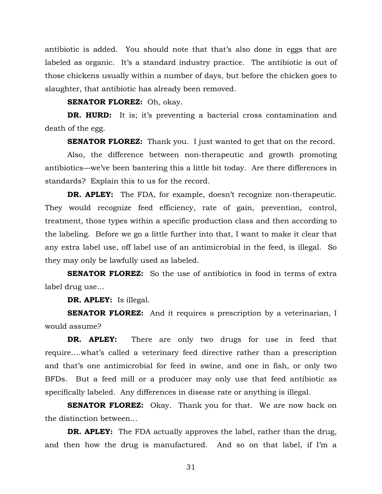antibiotic is added. You should note that that's also done in eggs that are labeled as organic. It's a standard industry practice. The antibiotic is out of those chickens usually within a number of days, but before the chicken goes to slaughter, that antibiotic has already been removed.

#### **SENATOR FLOREZ:** Oh, okay.

**DR. HURD:** It is; it's preventing a bacterial cross contamination and death of the egg.

**SENATOR FLOREZ:** Thank you. I just wanted to get that on the record.

Also, the difference between non-therapeutic and growth promoting antibiotics—we've been bantering this a little bit today. Are there differences in standards? Explain this to us for the record.

**DR. APLEY:** The FDA, for example, doesn't recognize non-therapeutic. They would recognize feed efficiency, rate of gain, prevention, control, treatment, those types within a specific production class and then according to the labeling. Before we go a little further into that, I want to make it clear that any extra label use, off label use of an antimicrobial in the feed, is illegal. So they may only be lawfully used as labeled.

**SENATOR FLOREZ:** So the use of antibiotics in food in terms of extra label drug use…

**DR. APLEY:** Is illegal.

**SENATOR FLOREZ:** And it requires a prescription by a veterinarian, I would assume?

**DR. APLEY:** There are only two drugs for use in feed that require….what's called a veterinary feed directive rather than a prescription and that's one antimicrobial for feed in swine, and one in fish, or only two BFDs. But a feed mill or a producer may only use that feed antibiotic as specifically labeled. Any differences in disease rate or anything is illegal.

**SENATOR FLOREZ:** Okay. Thank you for that. We are now back on the distinction between…

**DR. APLEY:** The FDA actually approves the label, rather than the drug, and then how the drug is manufactured. And so on that label, if I'm a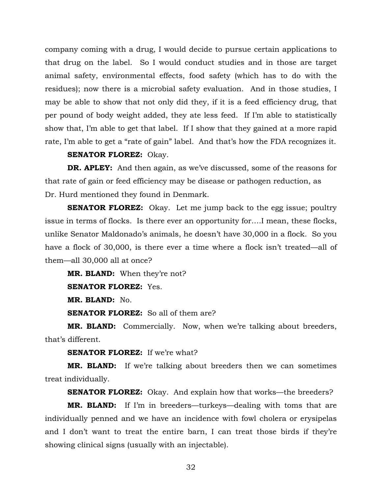company coming with a drug, I would decide to pursue certain applications to that drug on the label. So I would conduct studies and in those are target animal safety, environmental effects, food safety (which has to do with the residues); now there is a microbial safety evaluation. And in those studies, I may be able to show that not only did they, if it is a feed efficiency drug, that per pound of body weight added, they ate less feed. If I'm able to statistically show that, I'm able to get that label. If I show that they gained at a more rapid rate, I'm able to get a "rate of gain" label. And that's how the FDA recognizes it.

#### **SENATOR FLOREZ:** Okay.

**DR. APLEY:** And then again, as we've discussed, some of the reasons for that rate of gain or feed efficiency may be disease or pathogen reduction, as Dr. Hurd mentioned they found in Denmark.

**SENATOR FLOREZ:** Okay. Let me jump back to the egg issue; poultry issue in terms of flocks. Is there ever an opportunity for….I mean, these flocks, unlike Senator Maldonado's animals, he doesn't have 30,000 in a flock. So you have a flock of 30,000, is there ever a time where a flock isn't treated—all of them—all 30,000 all at once?

**MR. BLAND:** When they're not?

**SENATOR FLOREZ:** Yes.

**MR. BLAND:** No.

**SENATOR FLOREZ:** So all of them are?

**MR. BLAND:** Commercially. Now, when we're talking about breeders, that's different.

**SENATOR FLOREZ:** If we're what?

**MR. BLAND:** If we're talking about breeders then we can sometimes treat individually.

**SENATOR FLOREZ:** Okay. And explain how that works—the breeders?

**MR. BLAND:** If I'm in breeders—turkeys—dealing with toms that are individually penned and we have an incidence with fowl cholera or erysipelas and I don't want to treat the entire barn, I can treat those birds if they're showing clinical signs (usually with an injectable).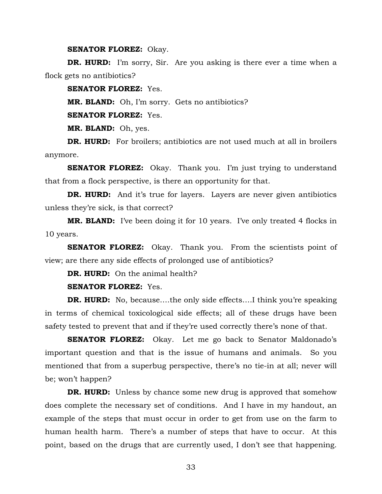**SENATOR FLOREZ:** Okay.

**DR. HURD:** I'm sorry, Sir. Are you asking is there ever a time when a flock gets no antibiotics?

**SENATOR FLOREZ:** Yes.

**MR. BLAND:** Oh, I'm sorry. Gets no antibiotics?

**SENATOR FLOREZ:** Yes.

**MR. BLAND:** Oh, yes.

**DR. HURD:** For broilers; antibiotics are not used much at all in broilers anymore.

**SENATOR FLOREZ:** Okay. Thank you. I'm just trying to understand that from a flock perspective, is there an opportunity for that.

**DR. HURD:** And it's true for layers. Layers are never given antibiotics unless they're sick, is that correct?

**MR. BLAND:** I've been doing it for 10 years. I've only treated 4 flocks in 10 years.

**SENATOR FLOREZ:** Okay. Thank you. From the scientists point of view; are there any side effects of prolonged use of antibiotics?

**DR. HURD:** On the animal health?

**SENATOR FLOREZ:** Yes.

**DR. HURD:** No, because....the only side effects....I think you're speaking in terms of chemical toxicological side effects; all of these drugs have been safety tested to prevent that and if they're used correctly there's none of that.

**SENATOR FLOREZ:** Okay. Let me go back to Senator Maldonado's important question and that is the issue of humans and animals. So you mentioned that from a superbug perspective, there's no tie-in at all; never will be; won't happen?

**DR. HURD:** Unless by chance some new drug is approved that somehow does complete the necessary set of conditions. And I have in my handout, an example of the steps that must occur in order to get from use on the farm to human health harm. There's a number of steps that have to occur. At this point, based on the drugs that are currently used, I don't see that happening.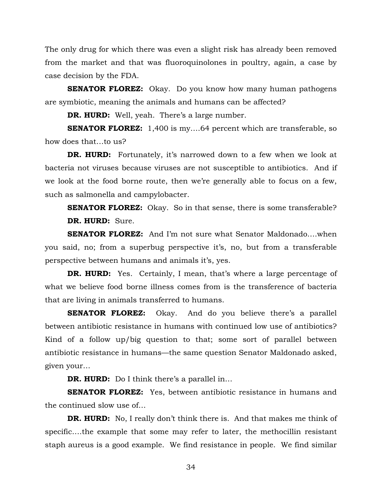The only drug for which there was even a slight risk has already been removed from the market and that was fluoroquinolones in poultry, again, a case by case decision by the FDA.

**SENATOR FLOREZ:** Okay. Do you know how many human pathogens are symbiotic, meaning the animals and humans can be affected?

**DR. HURD:** Well, yeah. There's a large number.

**SENATOR FLOREZ:** 1,400 is my....64 percent which are transferable, so how does that…to us?

**DR. HURD:** Fortunately, it's narrowed down to a few when we look at bacteria not viruses because viruses are not susceptible to antibiotics. And if we look at the food borne route, then we're generally able to focus on a few, such as salmonella and campylobacter.

**SENATOR FLOREZ:** Okay. So in that sense, there is some transferable? **DR. HURD:** Sure.

**SENATOR FLOREZ:** And I'm not sure what Senator Maldonado….when you said, no; from a superbug perspective it's, no, but from a transferable perspective between humans and animals it's, yes.

**DR. HURD:** Yes. Certainly, I mean, that's where a large percentage of what we believe food borne illness comes from is the transference of bacteria that are living in animals transferred to humans.

**SENATOR FLOREZ:** Okay. And do you believe there's a parallel between antibiotic resistance in humans with continued low use of antibiotics? Kind of a follow up/big question to that; some sort of parallel between antibiotic resistance in humans—the same question Senator Maldonado asked, given your…

**DR. HURD:** Do I think there's a parallel in...

**SENATOR FLOREZ:** Yes, between antibiotic resistance in humans and the continued slow use of…

**DR. HURD:** No, I really don't think there is. And that makes me think of specific….the example that some may refer to later, the methocillin resistant staph aureus is a good example. We find resistance in people. We find similar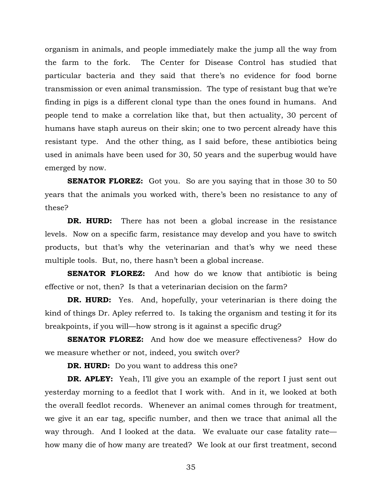organism in animals, and people immediately make the jump all the way from the farm to the fork. The Center for Disease Control has studied that particular bacteria and they said that there's no evidence for food borne transmission or even animal transmission. The type of resistant bug that we're finding in pigs is a different clonal type than the ones found in humans. And people tend to make a correlation like that, but then actuality, 30 percent of humans have staph aureus on their skin; one to two percent already have this resistant type. And the other thing, as I said before, these antibiotics being used in animals have been used for 30, 50 years and the superbug would have emerged by now.

**SENATOR FLOREZ:** Got you. So are you saying that in those 30 to 50 years that the animals you worked with, there's been no resistance to any of these?

**DR. HURD:** There has not been a global increase in the resistance levels. Now on a specific farm, resistance may develop and you have to switch products, but that's why the veterinarian and that's why we need these multiple tools. But, no, there hasn't been a global increase.

**SENATOR FLOREZ:** And how do we know that antibiotic is being effective or not, then? Is that a veterinarian decision on the farm?

**DR. HURD:** Yes. And, hopefully, your veterinarian is there doing the kind of things Dr. Apley referred to. Is taking the organism and testing it for its breakpoints, if you will—how strong is it against a specific drug?

**SENATOR FLOREZ:** And how doe we measure effectiveness? How do we measure whether or not, indeed, you switch over?

**DR. HURD:** Do you want to address this one?

**DR. APLEY:** Yeah, I'll give you an example of the report I just sent out yesterday morning to a feedlot that I work with. And in it, we looked at both the overall feedlot records. Whenever an animal comes through for treatment, we give it an ear tag, specific number, and then we trace that animal all the way through. And I looked at the data. We evaluate our case fatality rate how many die of how many are treated? We look at our first treatment, second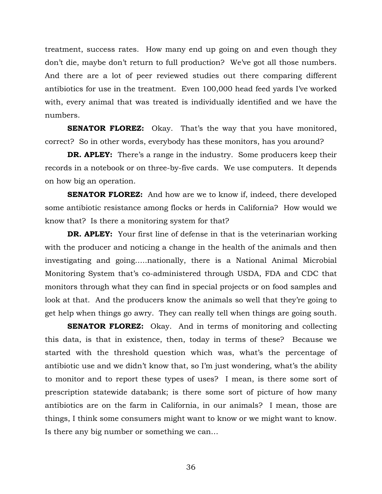treatment, success rates. How many end up going on and even though they don't die, maybe don't return to full production? We've got all those numbers. And there are a lot of peer reviewed studies out there comparing different antibiotics for use in the treatment. Even 100,000 head feed yards I've worked with, every animal that was treated is individually identified and we have the numbers.

**SENATOR FLOREZ:** Okay. That's the way that you have monitored, correct? So in other words, everybody has these monitors, has you around?

**DR. APLEY:** There's a range in the industry. Some producers keep their records in a notebook or on three-by-five cards. We use computers. It depends on how big an operation.

**SENATOR FLOREZ:** And how are we to know if, indeed, there developed some antibiotic resistance among flocks or herds in California? How would we know that? Is there a monitoring system for that?

**DR. APLEY:** Your first line of defense in that is the veterinarian working with the producer and noticing a change in the health of the animals and then investigating and going…..nationally, there is a National Animal Microbial Monitoring System that's co-administered through USDA, FDA and CDC that monitors through what they can find in special projects or on food samples and look at that. And the producers know the animals so well that they're going to get help when things go awry. They can really tell when things are going south.

**SENATOR FLOREZ:** Okay. And in terms of monitoring and collecting this data, is that in existence, then, today in terms of these? Because we started with the threshold question which was, what's the percentage of antibiotic use and we didn't know that, so I'm just wondering, what's the ability to monitor and to report these types of uses? I mean, is there some sort of prescription statewide databank; is there some sort of picture of how many antibiotics are on the farm in California, in our animals? I mean, those are things, I think some consumers might want to know or we might want to know. Is there any big number or something we can…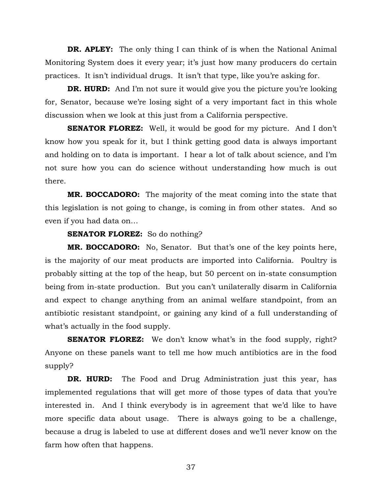**DR. APLEY:** The only thing I can think of is when the National Animal Monitoring System does it every year; it's just how many producers do certain practices. It isn't individual drugs. It isn't that type, like you're asking for.

**DR. HURD:** And I'm not sure it would give you the picture you're looking for, Senator, because we're losing sight of a very important fact in this whole discussion when we look at this just from a California perspective.

**SENATOR FLOREZ:** Well, it would be good for my picture. And I don't know how you speak for it, but I think getting good data is always important and holding on to data is important. I hear a lot of talk about science, and I'm not sure how you can do science without understanding how much is out there.

**MR. BOCCADORO:** The majority of the meat coming into the state that this legislation is not going to change, is coming in from other states. And so even if you had data on…

**SENATOR FLOREZ:** So do nothing?

**MR. BOCCADORO:** No, Senator. But that's one of the key points here, is the majority of our meat products are imported into California. Poultry is probably sitting at the top of the heap, but 50 percent on in-state consumption being from in-state production. But you can't unilaterally disarm in California and expect to change anything from an animal welfare standpoint, from an antibiotic resistant standpoint, or gaining any kind of a full understanding of what's actually in the food supply.

**SENATOR FLOREZ:** We don't know what's in the food supply, right? Anyone on these panels want to tell me how much antibiotics are in the food supply?

**DR. HURD:** The Food and Drug Administration just this year, has implemented regulations that will get more of those types of data that you're interested in. And I think everybody is in agreement that we'd like to have more specific data about usage. There is always going to be a challenge, because a drug is labeled to use at different doses and we'll never know on the farm how often that happens.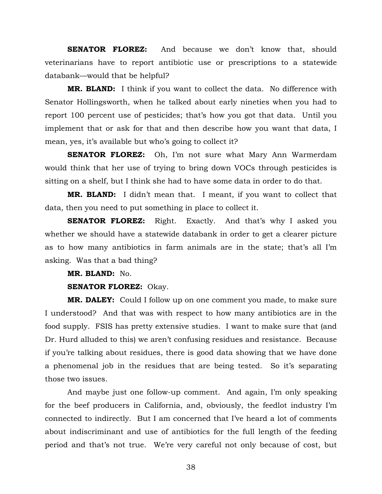**SENATOR FLOREZ:** And because we don't know that, should veterinarians have to report antibiotic use or prescriptions to a statewide databank—would that be helpful?

**MR. BLAND:** I think if you want to collect the data. No difference with Senator Hollingsworth, when he talked about early nineties when you had to report 100 percent use of pesticides; that's how you got that data. Until you implement that or ask for that and then describe how you want that data, I mean, yes, it's available but who's going to collect it?

**SENATOR FLOREZ:** Oh, I'm not sure what Mary Ann Warmerdam would think that her use of trying to bring down VOCs through pesticides is sitting on a shelf, but I think she had to have some data in order to do that.

**MR. BLAND:** I didn't mean that. I meant, if you want to collect that data, then you need to put something in place to collect it.

**SENATOR FLOREZ:** Right. Exactly. And that's why I asked you whether we should have a statewide databank in order to get a clearer picture as to how many antibiotics in farm animals are in the state; that's all I'm asking. Was that a bad thing?

**MR. BLAND:** No.

#### **SENATOR FLOREZ:** Okay.

**MR. DALEY:** Could I follow up on one comment you made, to make sure I understood? And that was with respect to how many antibiotics are in the food supply. FSIS has pretty extensive studies. I want to make sure that (and Dr. Hurd alluded to this) we aren't confusing residues and resistance. Because if you're talking about residues, there is good data showing that we have done a phenomenal job in the residues that are being tested. So it's separating those two issues.

And maybe just one follow-up comment. And again, I'm only speaking for the beef producers in California, and, obviously, the feedlot industry I'm connected to indirectly. But I am concerned that I've heard a lot of comments about indiscriminant and use of antibiotics for the full length of the feeding period and that's not true. We're very careful not only because of cost, but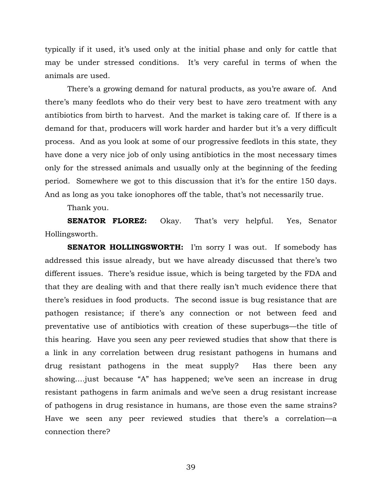typically if it used, it's used only at the initial phase and only for cattle that may be under stressed conditions. It's very careful in terms of when the animals are used.

There's a growing demand for natural products, as you're aware of. And there's many feedlots who do their very best to have zero treatment with any antibiotics from birth to harvest. And the market is taking care of. If there is a demand for that, producers will work harder and harder but it's a very difficult process. And as you look at some of our progressive feedlots in this state, they have done a very nice job of only using antibiotics in the most necessary times only for the stressed animals and usually only at the beginning of the feeding period. Somewhere we got to this discussion that it's for the entire 150 days. And as long as you take ionophores off the table, that's not necessarily true.

Thank you.

**SENATOR FLOREZ:** Okay. That's very helpful. Yes, Senator Hollingsworth.

**SENATOR HOLLINGSWORTH:** I'm sorry I was out. If somebody has addressed this issue already, but we have already discussed that there's two different issues. There's residue issue, which is being targeted by the FDA and that they are dealing with and that there really isn't much evidence there that there's residues in food products. The second issue is bug resistance that are pathogen resistance; if there's any connection or not between feed and preventative use of antibiotics with creation of these superbugs—the title of this hearing. Have you seen any peer reviewed studies that show that there is a link in any correlation between drug resistant pathogens in humans and drug resistant pathogens in the meat supply? Has there been any showing….just because "A" has happened; we've seen an increase in drug resistant pathogens in farm animals and we've seen a drug resistant increase of pathogens in drug resistance in humans, are those even the same strains? Have we seen any peer reviewed studies that there's a correlation—a connection there?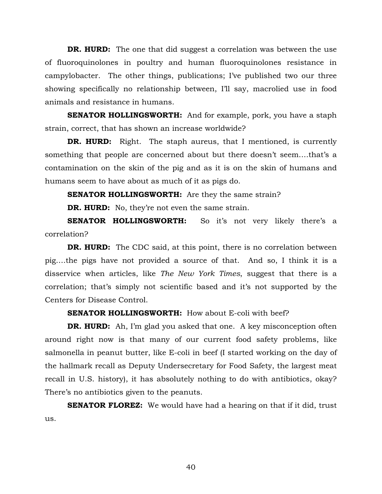**DR. HURD:** The one that did suggest a correlation was between the use of fluoroquinolones in poultry and human fluoroquinolones resistance in campylobacter. The other things, publications; I've published two our three showing specifically no relationship between, I'll say, macrolied use in food animals and resistance in humans.

**SENATOR HOLLINGSWORTH:** And for example, pork, you have a staph strain, correct, that has shown an increase worldwide?

**DR. HURD:** Right. The staph aureus, that I mentioned, is currently something that people are concerned about but there doesn't seem….that's a contamination on the skin of the pig and as it is on the skin of humans and humans seem to have about as much of it as pigs do.

**SENATOR HOLLINGSWORTH:** Are they the same strain?

**DR. HURD:** No, they're not even the same strain.

**SENATOR HOLLINGSWORTH:** So it's not very likely there's a correlation?

**DR. HURD:** The CDC said, at this point, there is no correlation between pig….the pigs have not provided a source of that. And so, I think it is a disservice when articles, like *The New York Times*, suggest that there is a correlation; that's simply not scientific based and it's not supported by the Centers for Disease Control.

## **SENATOR HOLLINGSWORTH:** How about E-coli with beef?

**DR. HURD:** Ah, I'm glad you asked that one. A key misconception often around right now is that many of our current food safety problems, like salmonella in peanut butter, like E-coli in beef (I started working on the day of the hallmark recall as Deputy Undersecretary for Food Safety, the largest meat recall in U.S. history), it has absolutely nothing to do with antibiotics, okay? There's no antibiotics given to the peanuts.

**SENATOR FLOREZ:** We would have had a hearing on that if it did, trust us.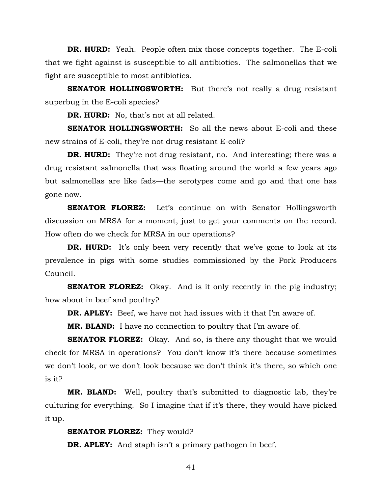**DR. HURD:** Yeah. People often mix those concepts together. The E-coli that we fight against is susceptible to all antibiotics. The salmonellas that we fight are susceptible to most antibiotics.

**SENATOR HOLLINGSWORTH:** But there's not really a drug resistant superbug in the E-coli species?

**DR. HURD:** No, that's not at all related.

**SENATOR HOLLINGSWORTH:** So all the news about E-coli and these new strains of E-coli, they're not drug resistant E-coli?

**DR. HURD:** They're not drug resistant, no. And interesting; there was a drug resistant salmonella that was floating around the world a few years ago but salmonellas are like fads—the serotypes come and go and that one has gone now.

**SENATOR FLOREZ:** Let's continue on with Senator Hollingsworth discussion on MRSA for a moment, just to get your comments on the record. How often do we check for MRSA in our operations?

**DR. HURD:** It's only been very recently that we've gone to look at its prevalence in pigs with some studies commissioned by the Pork Producers Council.

**SENATOR FLOREZ:** Okay. And is it only recently in the pig industry; how about in beef and poultry?

**DR. APLEY:** Beef, we have not had issues with it that I'm aware of.

**MR. BLAND:** I have no connection to poultry that I'm aware of.

**SENATOR FLOREZ:** Okay. And so, is there any thought that we would check for MRSA in operations? You don't know it's there because sometimes we don't look, or we don't look because we don't think it's there, so which one is it?

**MR. BLAND:** Well, poultry that's submitted to diagnostic lab, they're culturing for everything. So I imagine that if it's there, they would have picked it up.

**SENATOR FLOREZ:** They would?

**DR. APLEY:** And staph isn't a primary pathogen in beef.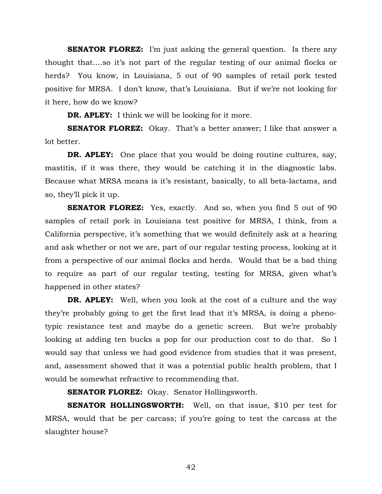**SENATOR FLOREZ:** I'm just asking the general question. Is there any thought that….so it's not part of the regular testing of our animal flocks or herds? You know, in Louisiana, 5 out of 90 samples of retail pork tested positive for MRSA. I don't know, that's Louisiana. But if we're not looking for it here, how do we know?

**DR. APLEY:** I think we will be looking for it more.

**SENATOR FLOREZ:** Okay. That's a better answer; I like that answer a lot better.

**DR. APLEY:** One place that you would be doing routine cultures, say, mastitis, if it was there, they would be catching it in the diagnostic labs. Because what MRSA means is it's resistant, basically, to all beta-lactams, and so, they'll pick it up.

**SENATOR FLOREZ:** Yes, exactly. And so, when you find 5 out of 90 samples of retail pork in Louisiana test positive for MRSA, I think, from a California perspective, it's something that we would definitely ask at a hearing and ask whether or not we are, part of our regular testing process, looking at it from a perspective of our animal flocks and herds. Would that be a bad thing to require as part of our regular testing, testing for MRSA, given what's happened in other states?

**DR. APLEY:** Well, when you look at the cost of a culture and the way they're probably going to get the first lead that it's MRSA, is doing a phenotypic resistance test and maybe do a genetic screen. But we're probably looking at adding ten bucks a pop for our production cost to do that. So I would say that unless we had good evidence from studies that it was present, and, assessment showed that it was a potential public health problem, that I would be somewhat refractive to recommending that.

**SENATOR FLOREZ:** Okay. Senator Hollingsworth.

**SENATOR HOLLINGSWORTH:** Well, on that issue, \$10 per test for MRSA, would that be per carcass; if you're going to test the carcass at the slaughter house?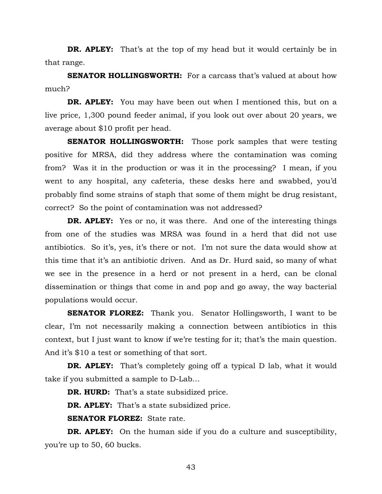**DR. APLEY:** That's at the top of my head but it would certainly be in that range.

**SENATOR HOLLINGSWORTH:** For a carcass that's valued at about how much?

**DR. APLEY:** You may have been out when I mentioned this, but on a live price, 1,300 pound feeder animal, if you look out over about 20 years, we average about \$10 profit per head.

**SENATOR HOLLINGSWORTH:** Those pork samples that were testing positive for MRSA, did they address where the contamination was coming from? Was it in the production or was it in the processing? I mean, if you went to any hospital, any cafeteria, these desks here and swabbed, you'd probably find some strains of staph that some of them might be drug resistant, correct? So the point of contamination was not addressed?

**DR. APLEY:** Yes or no, it was there. And one of the interesting things from one of the studies was MRSA was found in a herd that did not use antibiotics. So it's, yes, it's there or not. I'm not sure the data would show at this time that it's an antibiotic driven. And as Dr. Hurd said, so many of what we see in the presence in a herd or not present in a herd, can be clonal dissemination or things that come in and pop and go away, the way bacterial populations would occur.

**SENATOR FLOREZ:** Thank you. Senator Hollingsworth, I want to be clear, I'm not necessarily making a connection between antibiotics in this context, but I just want to know if we're testing for it; that's the main question. And it's \$10 a test or something of that sort.

**DR. APLEY:** That's completely going off a typical D lab, what it would take if you submitted a sample to D-Lab…

**DR. HURD:** That's a state subsidized price.

**DR. APLEY:** That's a state subsidized price.

**SENATOR FLOREZ:** State rate.

**DR. APLEY:** On the human side if you do a culture and susceptibility, you're up to 50, 60 bucks.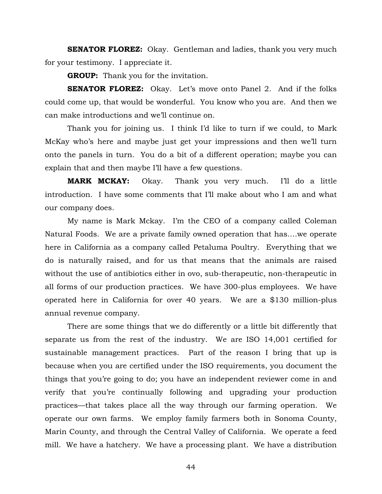**SENATOR FLOREZ:** Okay. Gentleman and ladies, thank you very much for your testimony. I appreciate it.

**GROUP:** Thank you for the invitation.

**SENATOR FLOREZ:** Okay. Let's move onto Panel 2. And if the folks could come up, that would be wonderful. You know who you are. And then we can make introductions and we'll continue on.

Thank you for joining us. I think I'd like to turn if we could, to Mark McKay who's here and maybe just get your impressions and then we'll turn onto the panels in turn. You do a bit of a different operation; maybe you can explain that and then maybe I'll have a few questions.

**MARK MCKAY:** Okay. Thank you very much. I'll do a little introduction. I have some comments that I'll make about who I am and what our company does.

My name is Mark Mckay. I'm the CEO of a company called Coleman Natural Foods. We are a private family owned operation that has….we operate here in California as a company called Petaluma Poultry. Everything that we do is naturally raised, and for us that means that the animals are raised without the use of antibiotics either in ovo, sub-therapeutic, non-therapeutic in all forms of our production practices. We have 300-plus employees. We have operated here in California for over 40 years. We are a \$130 million-plus annual revenue company.

There are some things that we do differently or a little bit differently that separate us from the rest of the industry. We are ISO 14,001 certified for sustainable management practices. Part of the reason I bring that up is because when you are certified under the ISO requirements, you document the things that you're going to do; you have an independent reviewer come in and verify that you're continually following and upgrading your production practices—that takes place all the way through our farming operation. We operate our own farms. We employ family farmers both in Sonoma County, Marin County, and through the Central Valley of California. We operate a feed mill. We have a hatchery. We have a processing plant. We have a distribution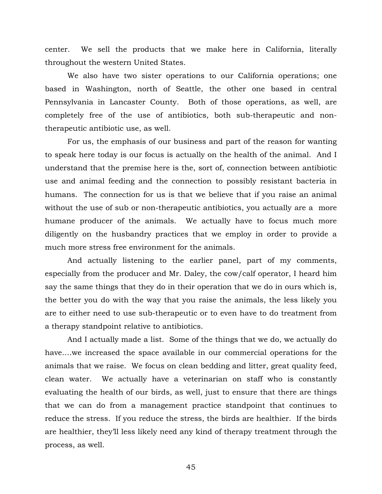center. We sell the products that we make here in California, literally throughout the western United States.

We also have two sister operations to our California operations; one based in Washington, north of Seattle, the other one based in central Pennsylvania in Lancaster County. Both of those operations, as well, are completely free of the use of antibiotics, both sub-therapeutic and nontherapeutic antibiotic use, as well.

For us, the emphasis of our business and part of the reason for wanting to speak here today is our focus is actually on the health of the animal. And I understand that the premise here is the, sort of, connection between antibiotic use and animal feeding and the connection to possibly resistant bacteria in humans. The connection for us is that we believe that if you raise an animal without the use of sub or non-therapeutic antibiotics, you actually are a more humane producer of the animals. We actually have to focus much more diligently on the husbandry practices that we employ in order to provide a much more stress free environment for the animals.

And actually listening to the earlier panel, part of my comments, especially from the producer and Mr. Daley, the cow/calf operator, I heard him say the same things that they do in their operation that we do in ours which is, the better you do with the way that you raise the animals, the less likely you are to either need to use sub-therapeutic or to even have to do treatment from a therapy standpoint relative to antibiotics.

And I actually made a list. Some of the things that we do, we actually do have….we increased the space available in our commercial operations for the animals that we raise. We focus on clean bedding and litter, great quality feed, clean water. We actually have a veterinarian on staff who is constantly evaluating the health of our birds, as well, just to ensure that there are things that we can do from a management practice standpoint that continues to reduce the stress. If you reduce the stress, the birds are healthier. If the birds are healthier, they'll less likely need any kind of therapy treatment through the process, as well.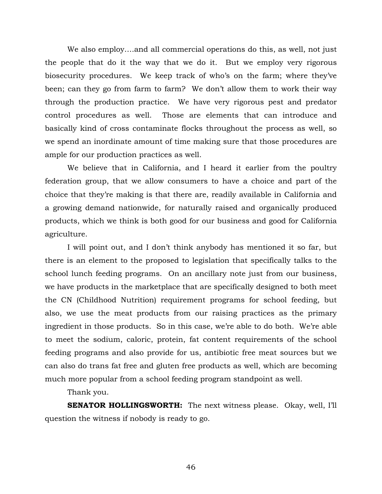We also employ….and all commercial operations do this, as well, not just the people that do it the way that we do it. But we employ very rigorous biosecurity procedures. We keep track of who's on the farm; where they've been; can they go from farm to farm? We don't allow them to work their way through the production practice. We have very rigorous pest and predator control procedures as well. Those are elements that can introduce and basically kind of cross contaminate flocks throughout the process as well, so we spend an inordinate amount of time making sure that those procedures are ample for our production practices as well.

We believe that in California, and I heard it earlier from the poultry federation group, that we allow consumers to have a choice and part of the choice that they're making is that there are, readily available in California and a growing demand nationwide, for naturally raised and organically produced products, which we think is both good for our business and good for California agriculture.

I will point out, and I don't think anybody has mentioned it so far, but there is an element to the proposed to legislation that specifically talks to the school lunch feeding programs. On an ancillary note just from our business, we have products in the marketplace that are specifically designed to both meet the CN (Childhood Nutrition) requirement programs for school feeding, but also, we use the meat products from our raising practices as the primary ingredient in those products. So in this case, we're able to do both. We're able to meet the sodium, caloric, protein, fat content requirements of the school feeding programs and also provide for us, antibiotic free meat sources but we can also do trans fat free and gluten free products as well, which are becoming much more popular from a school feeding program standpoint as well.

Thank you.

**SENATOR HOLLINGSWORTH:** The next witness please. Okay, well, I'll question the witness if nobody is ready to go.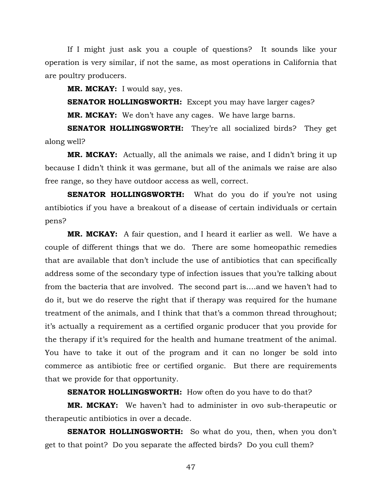If I might just ask you a couple of questions? It sounds like your operation is very similar, if not the same, as most operations in California that are poultry producers.

**MR. MCKAY:** I would say, yes.

**SENATOR HOLLINGSWORTH:** Except you may have larger cages? **MR. MCKAY:** We don't have any cages. We have large barns.

**SENATOR HOLLINGSWORTH:** They're all socialized birds? They get along well?

**MR. MCKAY:** Actually, all the animals we raise, and I didn't bring it up because I didn't think it was germane, but all of the animals we raise are also free range, so they have outdoor access as well, correct.

**SENATOR HOLLINGSWORTH:** What do you do if you're not using antibiotics if you have a breakout of a disease of certain individuals or certain pens?

**MR. MCKAY:** A fair question, and I heard it earlier as well. We have a couple of different things that we do. There are some homeopathic remedies that are available that don't include the use of antibiotics that can specifically address some of the secondary type of infection issues that you're talking about from the bacteria that are involved. The second part is….and we haven't had to do it, but we do reserve the right that if therapy was required for the humane treatment of the animals, and I think that that's a common thread throughout; it's actually a requirement as a certified organic producer that you provide for the therapy if it's required for the health and humane treatment of the animal. You have to take it out of the program and it can no longer be sold into commerce as antibiotic free or certified organic. But there are requirements that we provide for that opportunity.

**SENATOR HOLLINGSWORTH:** How often do you have to do that?

**MR. MCKAY:** We haven't had to administer in ovo sub-therapeutic or therapeutic antibiotics in over a decade.

**SENATOR HOLLINGSWORTH:** So what do you, then, when you don't get to that point? Do you separate the affected birds? Do you cull them?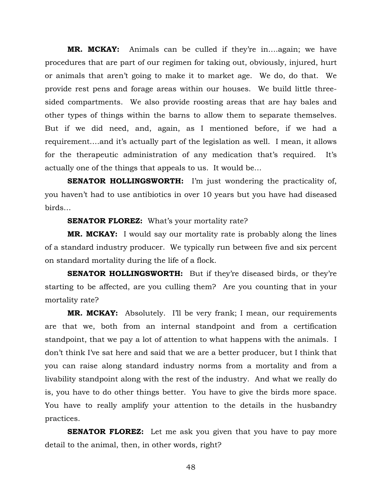**MR. MCKAY:** Animals can be culled if they're in….again; we have procedures that are part of our regimen for taking out, obviously, injured, hurt or animals that aren't going to make it to market age. We do, do that. We provide rest pens and forage areas within our houses. We build little threesided compartments. We also provide roosting areas that are hay bales and other types of things within the barns to allow them to separate themselves. But if we did need, and, again, as I mentioned before, if we had a requirement….and it's actually part of the legislation as well. I mean, it allows for the therapeutic administration of any medication that's required. It's actually one of the things that appeals to us. It would be…

**SENATOR HOLLINGSWORTH:** I'm just wondering the practicality of, you haven't had to use antibiotics in over 10 years but you have had diseased birds…

**SENATOR FLOREZ:** What's your mortality rate?

**MR. MCKAY:** I would say our mortality rate is probably along the lines of a standard industry producer. We typically run between five and six percent on standard mortality during the life of a flock.

**SENATOR HOLLINGSWORTH:** But if they're diseased birds, or they're starting to be affected, are you culling them? Are you counting that in your mortality rate?

**MR. MCKAY:** Absolutely. I'll be very frank; I mean, our requirements are that we, both from an internal standpoint and from a certification standpoint, that we pay a lot of attention to what happens with the animals. I don't think I've sat here and said that we are a better producer, but I think that you can raise along standard industry norms from a mortality and from a livability standpoint along with the rest of the industry. And what we really do is, you have to do other things better. You have to give the birds more space. You have to really amplify your attention to the details in the husbandry practices.

**SENATOR FLOREZ:** Let me ask you given that you have to pay more detail to the animal, then, in other words, right?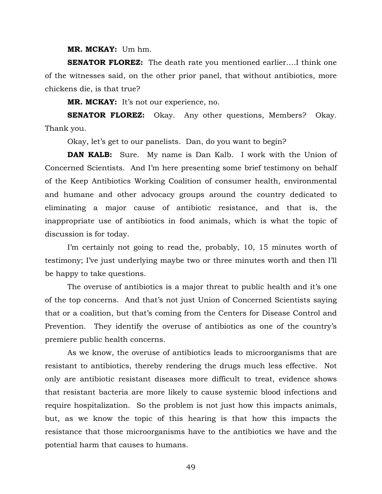**MR. MCKAY:** Um hm.

**SENATOR FLOREZ:** The death rate you mentioned earlier....I think one of the witnesses said, on the other prior panel, that without antibiotics, more chickens die, is that true?

**MR. MCKAY:** It's not our experience, no.

**SENATOR FLOREZ:** Okay. Any other questions, Members? Okay. Thank you.

Okay, let's get to our panelists. Dan, do you want to begin?

**DAN KALB:** Sure. My name is Dan Kalb. I work with the Union of Concerned Scientists. And I'm here presenting some brief testimony on behalf of the Keep Antibiotics Working Coalition of consumer health, environmental and humane and other advocacy groups around the country dedicated to eliminating a major cause of antibiotic resistance, and that is, the inappropriate use of antibiotics in food animals, which is what the topic of discussion is for today.

I'm certainly not going to read the, probably, 10, 15 minutes worth of testimony; I've just underlying maybe two or three minutes worth and then I'll be happy to take questions.

The overuse of antibiotics is a major threat to public health and it's one of the top concerns. And that's not just Union of Concerned Scientists saying that or a coalition, but that's coming from the Centers for Disease Control and Prevention. They identify the overuse of antibiotics as one of the country's premiere public health concerns.

As we know, the overuse of antibiotics leads to microorganisms that are resistant to antibiotics, thereby rendering the drugs much less effective. Not only are antibiotic resistant diseases more difficult to treat, evidence shows that resistant bacteria are more likely to cause systemic blood infections and require hospitalization. So the problem is not just how this impacts animals, but, as we know the topic of this hearing is that how this impacts the resistance that those microorganisms have to the antibiotics we have and the potential harm that causes to humans.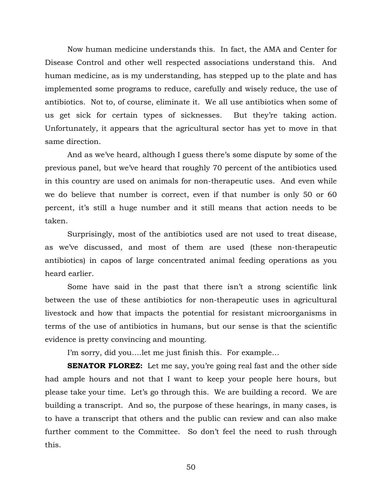Now human medicine understands this. In fact, the AMA and Center for Disease Control and other well respected associations understand this. And human medicine, as is my understanding, has stepped up to the plate and has implemented some programs to reduce, carefully and wisely reduce, the use of antibiotics. Not to, of course, eliminate it. We all use antibiotics when some of us get sick for certain types of sicknesses. But they're taking action. Unfortunately, it appears that the agricultural sector has yet to move in that same direction.

And as we've heard, although I guess there's some dispute by some of the previous panel, but we've heard that roughly 70 percent of the antibiotics used in this country are used on animals for non-therapeutic uses. And even while we do believe that number is correct, even if that number is only 50 or 60 percent, it's still a huge number and it still means that action needs to be taken.

Surprisingly, most of the antibiotics used are not used to treat disease, as we've discussed, and most of them are used (these non-therapeutic antibiotics) in capos of large concentrated animal feeding operations as you heard earlier.

Some have said in the past that there isn't a strong scientific link between the use of these antibiotics for non-therapeutic uses in agricultural livestock and how that impacts the potential for resistant microorganisms in terms of the use of antibiotics in humans, but our sense is that the scientific evidence is pretty convincing and mounting.

I'm sorry, did you….let me just finish this. For example…

**SENATOR FLOREZ:** Let me say, you're going real fast and the other side had ample hours and not that I want to keep your people here hours, but please take your time. Let's go through this. We are building a record. We are building a transcript. And so, the purpose of these hearings, in many cases, is to have a transcript that others and the public can review and can also make further comment to the Committee. So don't feel the need to rush through this.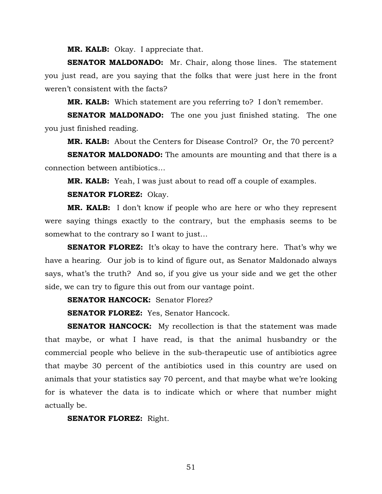**MR. KALB:** Okay. I appreciate that.

**SENATOR MALDONADO:** Mr. Chair, along those lines. The statement you just read, are you saying that the folks that were just here in the front weren't consistent with the facts?

**MR. KALB:** Which statement are you referring to? I don't remember.

**SENATOR MALDONADO:** The one you just finished stating. The one you just finished reading.

**MR. KALB:** About the Centers for Disease Control? Or, the 70 percent?

**SENATOR MALDONADO:** The amounts are mounting and that there is a connection between antibiotics…

**MR. KALB:** Yeah, I was just about to read off a couple of examples.

#### **SENATOR FLOREZ:** Okay.

**MR. KALB:** I don't know if people who are here or who they represent were saying things exactly to the contrary, but the emphasis seems to be somewhat to the contrary so I want to just…

**SENATOR FLOREZ:** It's okay to have the contrary here. That's why we have a hearing. Our job is to kind of figure out, as Senator Maldonado always says, what's the truth? And so, if you give us your side and we get the other side, we can try to figure this out from our vantage point.

**SENATOR HANCOCK:** Senator Florez?

**SENATOR FLOREZ:** Yes, Senator Hancock.

**SENATOR HANCOCK:** My recollection is that the statement was made that maybe, or what I have read, is that the animal husbandry or the commercial people who believe in the sub-therapeutic use of antibiotics agree that maybe 30 percent of the antibiotics used in this country are used on animals that your statistics say 70 percent, and that maybe what we're looking for is whatever the data is to indicate which or where that number might actually be.

**SENATOR FLOREZ:** Right.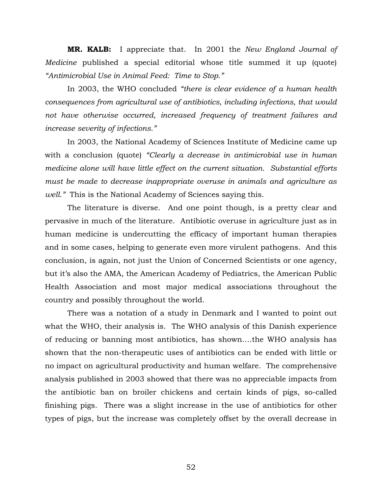**MR. KALB:** I appreciate that. In 2001 the *New England Journal of Medicine* published a special editorial whose title summed it up (quote) *"Antimicrobial Use in Animal Feed: Time to Stop."*

In 2003, the WHO concluded *"there is clear evidence of a human health consequences from agricultural use of antibiotics, including infections, that would not have otherwise occurred, increased frequency of treatment failures and increase severity of infections."* 

In 2003, the National Academy of Sciences Institute of Medicine came up with a conclusion (quote) *"Clearly a decrease in antimicrobial use in human medicine alone will have little effect on the current situation. Substantial efforts must be made to decrease inappropriate overuse in animals and agriculture as well."* This is the National Academy of Sciences saying this.

The literature is diverse. And one point though, is a pretty clear and pervasive in much of the literature. Antibiotic overuse in agriculture just as in human medicine is undercutting the efficacy of important human therapies and in some cases, helping to generate even more virulent pathogens. And this conclusion, is again, not just the Union of Concerned Scientists or one agency, but it's also the AMA, the American Academy of Pediatrics, the American Public Health Association and most major medical associations throughout the country and possibly throughout the world.

There was a notation of a study in Denmark and I wanted to point out what the WHO, their analysis is. The WHO analysis of this Danish experience of reducing or banning most antibiotics, has shown….the WHO analysis has shown that the non-therapeutic uses of antibiotics can be ended with little or no impact on agricultural productivity and human welfare. The comprehensive analysis published in 2003 showed that there was no appreciable impacts from the antibiotic ban on broiler chickens and certain kinds of pigs, so-called finishing pigs. There was a slight increase in the use of antibiotics for other types of pigs, but the increase was completely offset by the overall decrease in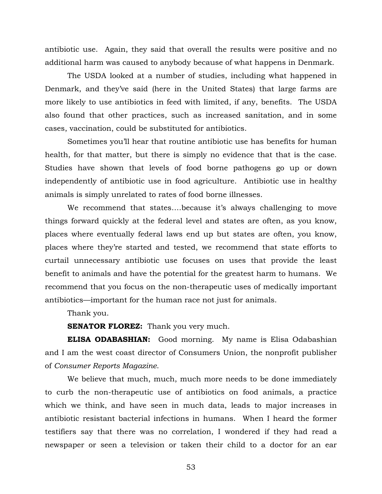antibiotic use. Again, they said that overall the results were positive and no additional harm was caused to anybody because of what happens in Denmark.

The USDA looked at a number of studies, including what happened in Denmark, and they've said (here in the United States) that large farms are more likely to use antibiotics in feed with limited, if any, benefits. The USDA also found that other practices, such as increased sanitation, and in some cases, vaccination, could be substituted for antibiotics.

Sometimes you'll hear that routine antibiotic use has benefits for human health, for that matter, but there is simply no evidence that that is the case. Studies have shown that levels of food borne pathogens go up or down independently of antibiotic use in food agriculture. Antibiotic use in healthy animals is simply unrelated to rates of food borne illnesses.

We recommend that states….because it's always challenging to move things forward quickly at the federal level and states are often, as you know, places where eventually federal laws end up but states are often, you know, places where they're started and tested, we recommend that state efforts to curtail unnecessary antibiotic use focuses on uses that provide the least benefit to animals and have the potential for the greatest harm to humans. We recommend that you focus on the non-therapeutic uses of medically important antibiotics—important for the human race not just for animals.

Thank you.

**SENATOR FLOREZ:** Thank you very much.

**ELISA ODABASHIAN:** Good morning. My name is Elisa Odabashian and I am the west coast director of Consumers Union, the nonprofit publisher of *Consumer Reports Magazine*.

We believe that much, much, much more needs to be done immediately to curb the non-therapeutic use of antibiotics on food animals, a practice which we think, and have seen in much data, leads to major increases in antibiotic resistant bacterial infections in humans. When I heard the former testifiers say that there was no correlation, I wondered if they had read a newspaper or seen a television or taken their child to a doctor for an ear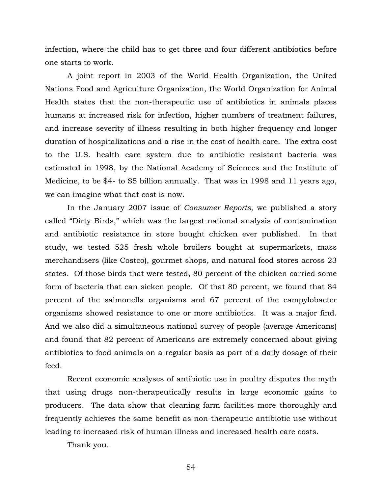infection, where the child has to get three and four different antibiotics before one starts to work.

A joint report in 2003 of the World Health Organization, the United Nations Food and Agriculture Organization, the World Organization for Animal Health states that the non-therapeutic use of antibiotics in animals places humans at increased risk for infection, higher numbers of treatment failures, and increase severity of illness resulting in both higher frequency and longer duration of hospitalizations and a rise in the cost of health care. The extra cost to the U.S. health care system due to antibiotic resistant bacteria was estimated in 1998, by the National Academy of Sciences and the Institute of Medicine, to be \$4- to \$5 billion annually. That was in 1998 and 11 years ago, we can imagine what that cost is now.

In the January 2007 issue of *Consumer Reports,* we published a story called "Dirty Birds," which was the largest national analysis of contamination and antibiotic resistance in store bought chicken ever published. In that study, we tested 525 fresh whole broilers bought at supermarkets, mass merchandisers (like Costco), gourmet shops, and natural food stores across 23 states. Of those birds that were tested, 80 percent of the chicken carried some form of bacteria that can sicken people. Of that 80 percent, we found that 84 percent of the salmonella organisms and 67 percent of the campylobacter organisms showed resistance to one or more antibiotics. It was a major find. And we also did a simultaneous national survey of people (average Americans) and found that 82 percent of Americans are extremely concerned about giving antibiotics to food animals on a regular basis as part of a daily dosage of their feed.

Recent economic analyses of antibiotic use in poultry disputes the myth that using drugs non-therapeutically results in large economic gains to producers. The data show that cleaning farm facilities more thoroughly and frequently achieves the same benefit as non-therapeutic antibiotic use without leading to increased risk of human illness and increased health care costs.

Thank you.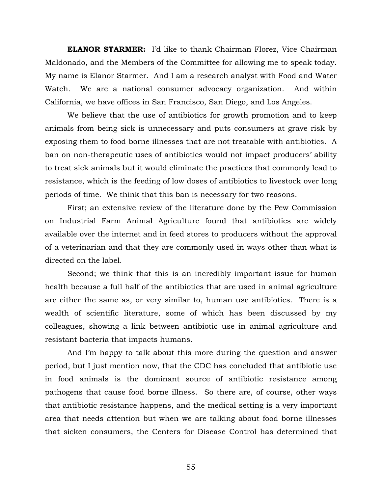**ELANOR STARMER:** I'd like to thank Chairman Florez, Vice Chairman Maldonado, and the Members of the Committee for allowing me to speak today. My name is Elanor Starmer. And I am a research analyst with Food and Water Watch. We are a national consumer advocacy organization. And within California, we have offices in San Francisco, San Diego, and Los Angeles.

We believe that the use of antibiotics for growth promotion and to keep animals from being sick is unnecessary and puts consumers at grave risk by exposing them to food borne illnesses that are not treatable with antibiotics. A ban on non-therapeutic uses of antibiotics would not impact producers' ability to treat sick animals but it would eliminate the practices that commonly lead to resistance, which is the feeding of low doses of antibiotics to livestock over long periods of time. We think that this ban is necessary for two reasons.

First; an extensive review of the literature done by the Pew Commission on Industrial Farm Animal Agriculture found that antibiotics are widely available over the internet and in feed stores to producers without the approval of a veterinarian and that they are commonly used in ways other than what is directed on the label.

Second; we think that this is an incredibly important issue for human health because a full half of the antibiotics that are used in animal agriculture are either the same as, or very similar to, human use antibiotics. There is a wealth of scientific literature, some of which has been discussed by my colleagues, showing a link between antibiotic use in animal agriculture and resistant bacteria that impacts humans.

And I'm happy to talk about this more during the question and answer period, but I just mention now, that the CDC has concluded that antibiotic use in food animals is the dominant source of antibiotic resistance among pathogens that cause food borne illness. So there are, of course, other ways that antibiotic resistance happens, and the medical setting is a very important area that needs attention but when we are talking about food borne illnesses that sicken consumers, the Centers for Disease Control has determined that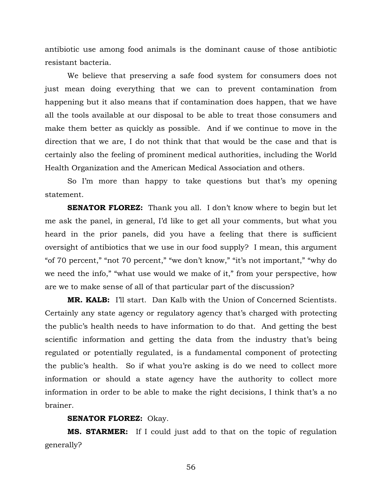antibiotic use among food animals is the dominant cause of those antibiotic resistant bacteria.

We believe that preserving a safe food system for consumers does not just mean doing everything that we can to prevent contamination from happening but it also means that if contamination does happen, that we have all the tools available at our disposal to be able to treat those consumers and make them better as quickly as possible. And if we continue to move in the direction that we are, I do not think that that would be the case and that is certainly also the feeling of prominent medical authorities, including the World Health Organization and the American Medical Association and others.

So I'm more than happy to take questions but that's my opening statement.

**SENATOR FLOREZ:** Thank you all. I don't know where to begin but let me ask the panel, in general, I'd like to get all your comments, but what you heard in the prior panels, did you have a feeling that there is sufficient oversight of antibiotics that we use in our food supply? I mean, this argument "of 70 percent," "not 70 percent," "we don't know," "it's not important," "why do we need the info," "what use would we make of it," from your perspective, how are we to make sense of all of that particular part of the discussion?

**MR. KALB:** I'll start. Dan Kalb with the Union of Concerned Scientists. Certainly any state agency or regulatory agency that's charged with protecting the public's health needs to have information to do that. And getting the best scientific information and getting the data from the industry that's being regulated or potentially regulated, is a fundamental component of protecting the public's health. So if what you're asking is do we need to collect more information or should a state agency have the authority to collect more information in order to be able to make the right decisions, I think that's a no brainer.

## **SENATOR FLOREZ:** Okay.

**MS. STARMER:** If I could just add to that on the topic of regulation generally?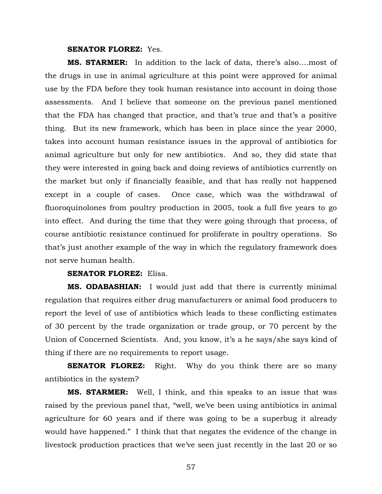#### **SENATOR FLOREZ:** Yes.

**MS. STARMER:** In addition to the lack of data, there's also….most of the drugs in use in animal agriculture at this point were approved for animal use by the FDA before they took human resistance into account in doing those assessments. And I believe that someone on the previous panel mentioned that the FDA has changed that practice, and that's true and that's a positive thing. But its new framework, which has been in place since the year 2000, takes into account human resistance issues in the approval of antibiotics for animal agriculture but only for new antibiotics. And so, they did state that they were interested in going back and doing reviews of antibiotics currently on the market but only if financially feasible, and that has really not happened except in a couple of cases. Once case, which was the withdrawal of fluoroquinolones from poultry production in 2005, took a full five years to go into effect. And during the time that they were going through that process, of course antibiotic resistance continued for proliferate in poultry operations. So that's just another example of the way in which the regulatory framework does not serve human health.

#### **SENATOR FLOREZ:** Elisa.

**MS. ODABASHIAN:** I would just add that there is currently minimal regulation that requires either drug manufacturers or animal food producers to report the level of use of antibiotics which leads to these conflicting estimates of 30 percent by the trade organization or trade group, or 70 percent by the Union of Concerned Scientists. And, you know, it's a he says/she says kind of thing if there are no requirements to report usage.

**SENATOR FLOREZ:** Right. Why do you think there are so many antibiotics in the system?

**MS. STARMER:** Well, I think, and this speaks to an issue that was raised by the previous panel that, "well, we've been using antibiotics in animal agriculture for 60 years and if there was going to be a superbug it already would have happened." I think that that negates the evidence of the change in livestock production practices that we've seen just recently in the last 20 or so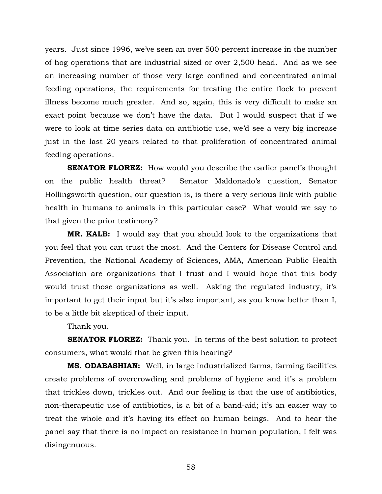years. Just since 1996, we've seen an over 500 percent increase in the number of hog operations that are industrial sized or over 2,500 head. And as we see an increasing number of those very large confined and concentrated animal feeding operations, the requirements for treating the entire flock to prevent illness become much greater. And so, again, this is very difficult to make an exact point because we don't have the data. But I would suspect that if we were to look at time series data on antibiotic use, we'd see a very big increase just in the last 20 years related to that proliferation of concentrated animal feeding operations.

**SENATOR FLOREZ:** How would you describe the earlier panel's thought on the public health threat? Senator Maldonado's question, Senator Hollingsworth question, our question is, is there a very serious link with public health in humans to animals in this particular case? What would we say to that given the prior testimony?

**MR. KALB:** I would say that you should look to the organizations that you feel that you can trust the most. And the Centers for Disease Control and Prevention, the National Academy of Sciences, AMA, American Public Health Association are organizations that I trust and I would hope that this body would trust those organizations as well. Asking the regulated industry, it's important to get their input but it's also important, as you know better than I, to be a little bit skeptical of their input.

Thank you.

**SENATOR FLOREZ:** Thank you. In terms of the best solution to protect consumers, what would that be given this hearing?

**MS. ODABASHIAN:** Well, in large industrialized farms, farming facilities create problems of overcrowding and problems of hygiene and it's a problem that trickles down, trickles out. And our feeling is that the use of antibiotics, non-therapeutic use of antibiotics, is a bit of a band-aid; it's an easier way to treat the whole and it's having its effect on human beings. And to hear the panel say that there is no impact on resistance in human population, I felt was disingenuous.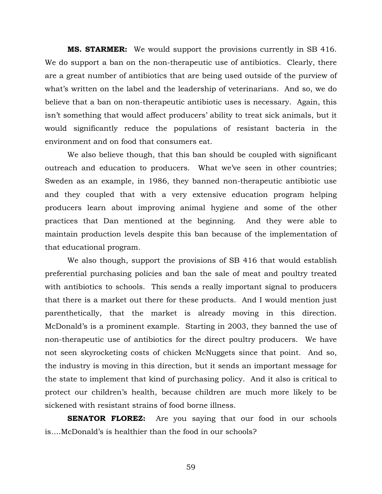**MS. STARMER:** We would support the provisions currently in SB 416. We do support a ban on the non-therapeutic use of antibiotics. Clearly, there are a great number of antibiotics that are being used outside of the purview of what's written on the label and the leadership of veterinarians. And so, we do believe that a ban on non-therapeutic antibiotic uses is necessary. Again, this isn't something that would affect producers' ability to treat sick animals, but it would significantly reduce the populations of resistant bacteria in the environment and on food that consumers eat.

We also believe though, that this ban should be coupled with significant outreach and education to producers. What we've seen in other countries; Sweden as an example, in 1986, they banned non-therapeutic antibiotic use and they coupled that with a very extensive education program helping producers learn about improving animal hygiene and some of the other practices that Dan mentioned at the beginning. And they were able to maintain production levels despite this ban because of the implementation of that educational program.

We also though, support the provisions of SB 416 that would establish preferential purchasing policies and ban the sale of meat and poultry treated with antibiotics to schools. This sends a really important signal to producers that there is a market out there for these products. And I would mention just parenthetically, that the market is already moving in this direction. McDonald's is a prominent example. Starting in 2003, they banned the use of non-therapeutic use of antibiotics for the direct poultry producers. We have not seen skyrocketing costs of chicken McNuggets since that point. And so, the industry is moving in this direction, but it sends an important message for the state to implement that kind of purchasing policy. And it also is critical to protect our children's health, because children are much more likely to be sickened with resistant strains of food borne illness.

**SENATOR FLOREZ:** Are you saying that our food in our schools is….McDonald's is healthier than the food in our schools?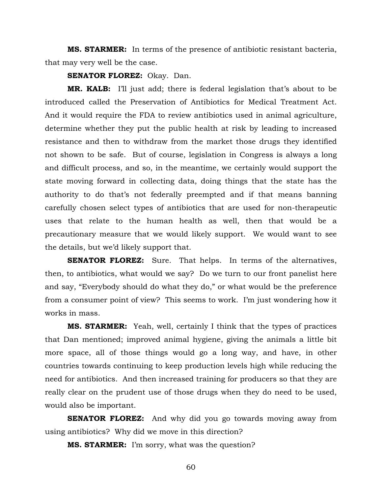**MS. STARMER:** In terms of the presence of antibiotic resistant bacteria, that may very well be the case.

**SENATOR FLOREZ:** Okay. Dan.

**MR. KALB:** I'll just add; there is federal legislation that's about to be introduced called the Preservation of Antibiotics for Medical Treatment Act. And it would require the FDA to review antibiotics used in animal agriculture, determine whether they put the public health at risk by leading to increased resistance and then to withdraw from the market those drugs they identified not shown to be safe. But of course, legislation in Congress is always a long and difficult process, and so, in the meantime, we certainly would support the state moving forward in collecting data, doing things that the state has the authority to do that's not federally preempted and if that means banning carefully chosen select types of antibiotics that are used for non-therapeutic uses that relate to the human health as well, then that would be a precautionary measure that we would likely support. We would want to see the details, but we'd likely support that.

**SENATOR FLOREZ:** Sure. That helps. In terms of the alternatives, then, to antibiotics, what would we say? Do we turn to our front panelist here and say, "Everybody should do what they do," or what would be the preference from a consumer point of view? This seems to work. I'm just wondering how it works in mass.

**MS. STARMER:** Yeah, well, certainly I think that the types of practices that Dan mentioned; improved animal hygiene, giving the animals a little bit more space, all of those things would go a long way, and have, in other countries towards continuing to keep production levels high while reducing the need for antibiotics. And then increased training for producers so that they are really clear on the prudent use of those drugs when they do need to be used, would also be important.

**SENATOR FLOREZ:** And why did you go towards moving away from using antibiotics? Why did we move in this direction?

**MS. STARMER:** I'm sorry, what was the question?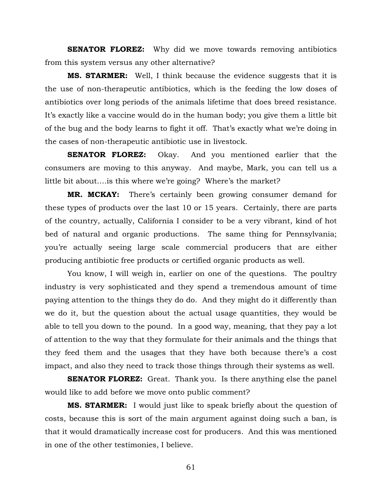**SENATOR FLOREZ:** Why did we move towards removing antibiotics from this system versus any other alternative?

**MS. STARMER:** Well, I think because the evidence suggests that it is the use of non-therapeutic antibiotics, which is the feeding the low doses of antibiotics over long periods of the animals lifetime that does breed resistance. It's exactly like a vaccine would do in the human body; you give them a little bit of the bug and the body learns to fight it off. That's exactly what we're doing in the cases of non-therapeutic antibiotic use in livestock.

**SENATOR FLOREZ:** Okay. And you mentioned earlier that the consumers are moving to this anyway. And maybe, Mark, you can tell us a little bit about….is this where we're going? Where's the market?

**MR. MCKAY:** There's certainly been growing consumer demand for these types of products over the last 10 or 15 years. Certainly, there are parts of the country, actually, California I consider to be a very vibrant, kind of hot bed of natural and organic productions. The same thing for Pennsylvania; you're actually seeing large scale commercial producers that are either producing antibiotic free products or certified organic products as well.

You know, I will weigh in, earlier on one of the questions. The poultry industry is very sophisticated and they spend a tremendous amount of time paying attention to the things they do do. And they might do it differently than we do it, but the question about the actual usage quantities, they would be able to tell you down to the pound. In a good way, meaning, that they pay a lot of attention to the way that they formulate for their animals and the things that they feed them and the usages that they have both because there's a cost impact, and also they need to track those things through their systems as well.

**SENATOR FLOREZ:** Great. Thank you. Is there anything else the panel would like to add before we move onto public comment?

**MS. STARMER:** I would just like to speak briefly about the question of costs, because this is sort of the main argument against doing such a ban, is that it would dramatically increase cost for producers. And this was mentioned in one of the other testimonies, I believe.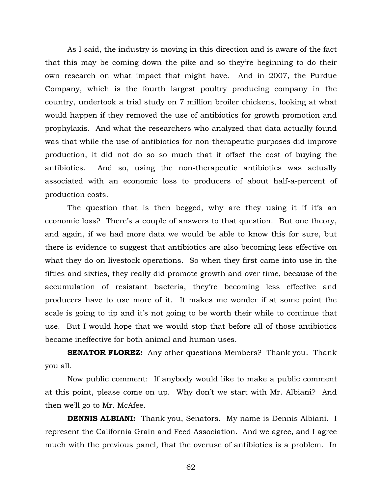As I said, the industry is moving in this direction and is aware of the fact that this may be coming down the pike and so they're beginning to do their own research on what impact that might have. And in 2007, the Purdue Company, which is the fourth largest poultry producing company in the country, undertook a trial study on 7 million broiler chickens, looking at what would happen if they removed the use of antibiotics for growth promotion and prophylaxis. And what the researchers who analyzed that data actually found was that while the use of antibiotics for non-therapeutic purposes did improve production, it did not do so so much that it offset the cost of buying the antibiotics. And so, using the non-therapeutic antibiotics was actually associated with an economic loss to producers of about half-a-percent of production costs.

The question that is then begged, why are they using it if it's an economic loss? There's a couple of answers to that question. But one theory, and again, if we had more data we would be able to know this for sure, but there is evidence to suggest that antibiotics are also becoming less effective on what they do on livestock operations. So when they first came into use in the fifties and sixties, they really did promote growth and over time, because of the accumulation of resistant bacteria, they're becoming less effective and producers have to use more of it. It makes me wonder if at some point the scale is going to tip and it's not going to be worth their while to continue that use. But I would hope that we would stop that before all of those antibiotics became ineffective for both animal and human uses.

**SENATOR FLOREZ:** Any other questions Members? Thank you. Thank you all.

Now public comment: If anybody would like to make a public comment at this point, please come on up. Why don't we start with Mr. Albiani? And then we'll go to Mr. McAfee.

**DENNIS ALBIANI:** Thank you, Senators. My name is Dennis Albiani. I represent the California Grain and Feed Association. And we agree, and I agree much with the previous panel, that the overuse of antibiotics is a problem. In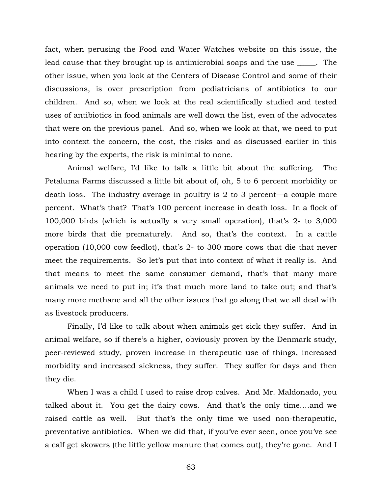fact, when perusing the Food and Water Watches website on this issue, the lead cause that they brought up is antimicrobial soaps and the use \_\_\_\_\_. The other issue, when you look at the Centers of Disease Control and some of their discussions, is over prescription from pediatricians of antibiotics to our children. And so, when we look at the real scientifically studied and tested uses of antibiotics in food animals are well down the list, even of the advocates that were on the previous panel. And so, when we look at that, we need to put into context the concern, the cost, the risks and as discussed earlier in this hearing by the experts, the risk is minimal to none.

Animal welfare, I'd like to talk a little bit about the suffering. The Petaluma Farms discussed a little bit about of, oh, 5 to 6 percent morbidity or death loss. The industry average in poultry is 2 to 3 percent—a couple more percent. What's that? That's 100 percent increase in death loss. In a flock of 100,000 birds (which is actually a very small operation), that's 2- to 3,000 more birds that die prematurely. And so, that's the context. In a cattle operation (10,000 cow feedlot), that's 2- to 300 more cows that die that never meet the requirements. So let's put that into context of what it really is. And that means to meet the same consumer demand, that's that many more animals we need to put in; it's that much more land to take out; and that's many more methane and all the other issues that go along that we all deal with as livestock producers.

Finally, I'd like to talk about when animals get sick they suffer. And in animal welfare, so if there's a higher, obviously proven by the Denmark study, peer-reviewed study, proven increase in therapeutic use of things, increased morbidity and increased sickness, they suffer. They suffer for days and then they die.

When I was a child I used to raise drop calves. And Mr. Maldonado, you talked about it. You get the dairy cows. And that's the only time….and we raised cattle as well. But that's the only time we used non-therapeutic, preventative antibiotics. When we did that, if you've ever seen, once you've see a calf get skowers (the little yellow manure that comes out), they're gone. And I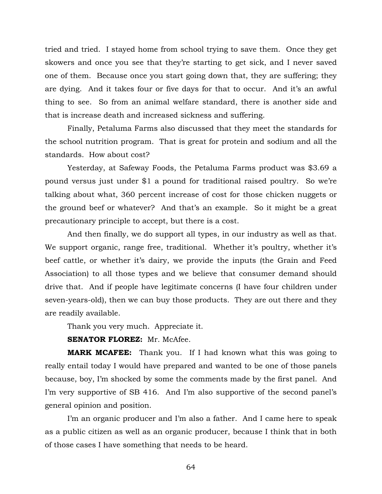tried and tried. I stayed home from school trying to save them. Once they get skowers and once you see that they're starting to get sick, and I never saved one of them. Because once you start going down that, they are suffering; they are dying. And it takes four or five days for that to occur. And it's an awful thing to see. So from an animal welfare standard, there is another side and that is increase death and increased sickness and suffering.

Finally, Petaluma Farms also discussed that they meet the standards for the school nutrition program. That is great for protein and sodium and all the standards. How about cost?

Yesterday, at Safeway Foods, the Petaluma Farms product was \$3.69 a pound versus just under \$1 a pound for traditional raised poultry. So we're talking about what, 360 percent increase of cost for those chicken nuggets or the ground beef or whatever? And that's an example. So it might be a great precautionary principle to accept, but there is a cost.

And then finally, we do support all types, in our industry as well as that. We support organic, range free, traditional. Whether it's poultry, whether it's beef cattle, or whether it's dairy, we provide the inputs (the Grain and Feed Association) to all those types and we believe that consumer demand should drive that. And if people have legitimate concerns (I have four children under seven-years-old), then we can buy those products. They are out there and they are readily available.

Thank you very much. Appreciate it.

**SENATOR FLOREZ: Mr. McAfee.** 

**MARK MCAFEE:** Thank you. If I had known what this was going to really entail today I would have prepared and wanted to be one of those panels because, boy, I'm shocked by some the comments made by the first panel. And I'm very supportive of SB 416. And I'm also supportive of the second panel's general opinion and position.

I'm an organic producer and I'm also a father. And I came here to speak as a public citizen as well as an organic producer, because I think that in both of those cases I have something that needs to be heard.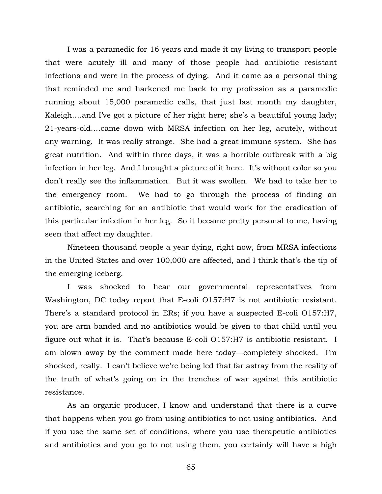I was a paramedic for 16 years and made it my living to transport people that were acutely ill and many of those people had antibiotic resistant infections and were in the process of dying. And it came as a personal thing that reminded me and harkened me back to my profession as a paramedic running about 15,000 paramedic calls, that just last month my daughter, Kaleigh….and I've got a picture of her right here; she's a beautiful young lady; 21-years-old….came down with MRSA infection on her leg, acutely, without any warning. It was really strange. She had a great immune system. She has great nutrition. And within three days, it was a horrible outbreak with a big infection in her leg. And I brought a picture of it here. It's without color so you don't really see the inflammation. But it was swollen. We had to take her to the emergency room. We had to go through the process of finding an antibiotic, searching for an antibiotic that would work for the eradication of this particular infection in her leg. So it became pretty personal to me, having seen that affect my daughter.

Nineteen thousand people a year dying, right now, from MRSA infections in the United States and over 100,000 are affected, and I think that's the tip of the emerging iceberg.

I was shocked to hear our governmental representatives from Washington, DC today report that E-coli O157:H7 is not antibiotic resistant. There's a standard protocol in ERs; if you have a suspected E-coli O157:H7, you are arm banded and no antibiotics would be given to that child until you figure out what it is. That's because E-coli O157:H7 is antibiotic resistant. I am blown away by the comment made here today—completely shocked. I'm shocked, really. I can't believe we're being led that far astray from the reality of the truth of what's going on in the trenches of war against this antibiotic resistance.

As an organic producer, I know and understand that there is a curve that happens when you go from using antibiotics to not using antibiotics. And if you use the same set of conditions, where you use therapeutic antibiotics and antibiotics and you go to not using them, you certainly will have a high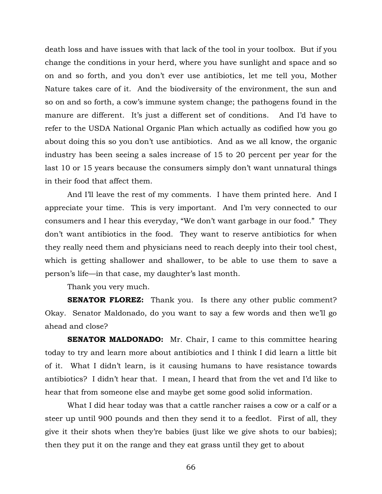death loss and have issues with that lack of the tool in your toolbox. But if you change the conditions in your herd, where you have sunlight and space and so on and so forth, and you don't ever use antibiotics, let me tell you, Mother Nature takes care of it. And the biodiversity of the environment, the sun and so on and so forth, a cow's immune system change; the pathogens found in the manure are different. It's just a different set of conditions. And I'd have to refer to the USDA National Organic Plan which actually as codified how you go about doing this so you don't use antibiotics. And as we all know, the organic industry has been seeing a sales increase of 15 to 20 percent per year for the last 10 or 15 years because the consumers simply don't want unnatural things in their food that affect them.

And I'll leave the rest of my comments. I have them printed here. And I appreciate your time. This is very important. And I'm very connected to our consumers and I hear this everyday, "We don't want garbage in our food." They don't want antibiotics in the food. They want to reserve antibiotics for when they really need them and physicians need to reach deeply into their tool chest, which is getting shallower and shallower, to be able to use them to save a person's life—in that case, my daughter's last month.

Thank you very much.

**SENATOR FLOREZ:** Thank you. Is there any other public comment? Okay. Senator Maldonado, do you want to say a few words and then we'll go ahead and close?

**SENATOR MALDONADO:** Mr. Chair, I came to this committee hearing today to try and learn more about antibiotics and I think I did learn a little bit of it. What I didn't learn, is it causing humans to have resistance towards antibiotics? I didn't hear that. I mean, I heard that from the vet and I'd like to hear that from someone else and maybe get some good solid information.

What I did hear today was that a cattle rancher raises a cow or a calf or a steer up until 900 pounds and then they send it to a feedlot. First of all, they give it their shots when they're babies (just like we give shots to our babies); then they put it on the range and they eat grass until they get to about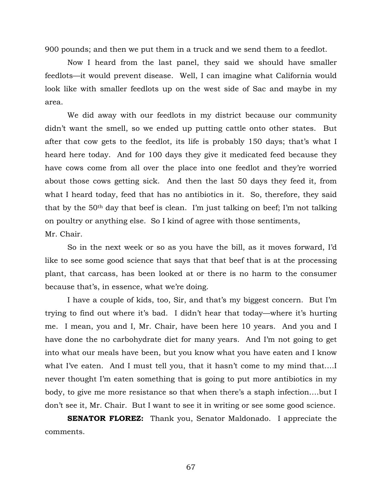900 pounds; and then we put them in a truck and we send them to a feedlot.

Now I heard from the last panel, they said we should have smaller feedlots—it would prevent disease. Well, I can imagine what California would look like with smaller feedlots up on the west side of Sac and maybe in my area.

We did away with our feedlots in my district because our community didn't want the smell, so we ended up putting cattle onto other states. But after that cow gets to the feedlot, its life is probably 150 days; that's what I heard here today. And for 100 days they give it medicated feed because they have cows come from all over the place into one feedlot and they're worried about those cows getting sick. And then the last 50 days they feed it, from what I heard today, feed that has no antibiotics in it. So, therefore, they said that by the 50th day that beef is clean. I'm just talking on beef; I'm not talking on poultry or anything else. So I kind of agree with those sentiments, Mr. Chair.

So in the next week or so as you have the bill, as it moves forward, I'd like to see some good science that says that that beef that is at the processing plant, that carcass, has been looked at or there is no harm to the consumer because that's, in essence, what we're doing.

I have a couple of kids, too, Sir, and that's my biggest concern. But I'm trying to find out where it's bad. I didn't hear that today—where it's hurting me. I mean, you and I, Mr. Chair, have been here 10 years. And you and I have done the no carbohydrate diet for many years. And I'm not going to get into what our meals have been, but you know what you have eaten and I know what I've eaten. And I must tell you, that it hasn't come to my mind that….I never thought I'm eaten something that is going to put more antibiotics in my body, to give me more resistance so that when there's a staph infection….but I don't see it, Mr. Chair. But I want to see it in writing or see some good science.

**SENATOR FLOREZ:** Thank you, Senator Maldonado. I appreciate the comments.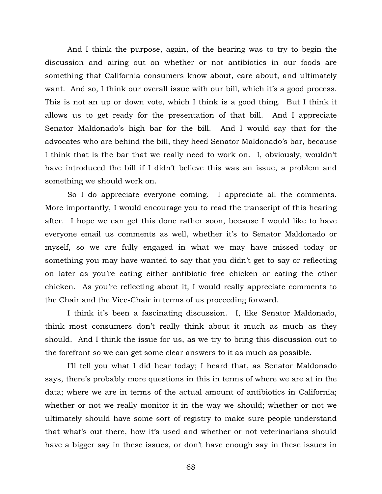And I think the purpose, again, of the hearing was to try to begin the discussion and airing out on whether or not antibiotics in our foods are something that California consumers know about, care about, and ultimately want. And so, I think our overall issue with our bill, which it's a good process. This is not an up or down vote, which I think is a good thing. But I think it allows us to get ready for the presentation of that bill. And I appreciate Senator Maldonado's high bar for the bill. And I would say that for the advocates who are behind the bill, they heed Senator Maldonado's bar, because I think that is the bar that we really need to work on. I, obviously, wouldn't have introduced the bill if I didn't believe this was an issue, a problem and something we should work on.

So I do appreciate everyone coming. I appreciate all the comments. More importantly, I would encourage you to read the transcript of this hearing after. I hope we can get this done rather soon, because I would like to have everyone email us comments as well, whether it's to Senator Maldonado or myself, so we are fully engaged in what we may have missed today or something you may have wanted to say that you didn't get to say or reflecting on later as you're eating either antibiotic free chicken or eating the other chicken. As you're reflecting about it, I would really appreciate comments to the Chair and the Vice-Chair in terms of us proceeding forward.

I think it's been a fascinating discussion. I, like Senator Maldonado, think most consumers don't really think about it much as much as they should. And I think the issue for us, as we try to bring this discussion out to the forefront so we can get some clear answers to it as much as possible.

I'll tell you what I did hear today; I heard that, as Senator Maldonado says, there's probably more questions in this in terms of where we are at in the data; where we are in terms of the actual amount of antibiotics in California; whether or not we really monitor it in the way we should; whether or not we ultimately should have some sort of registry to make sure people understand that what's out there, how it's used and whether or not veterinarians should have a bigger say in these issues, or don't have enough say in these issues in